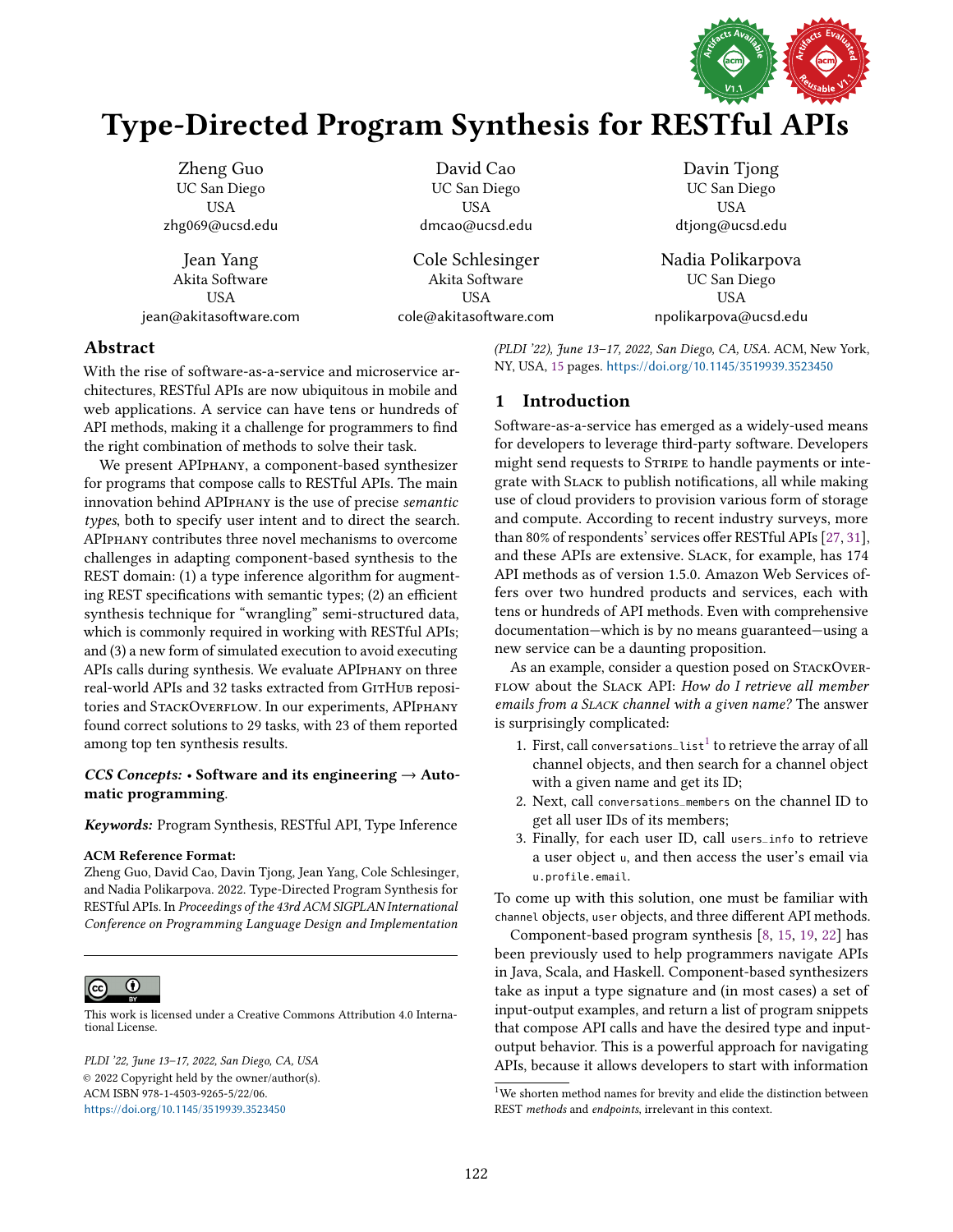

# Type-Directed Program Synthesis for RESTful APIs

Zheng Guo UC San Diego USA zhg069@ucsd.edu Jean Yang

Akita Software USA jean@akitasoftware.com

David Cao UC San Diego USA dmcao@ucsd.edu

Cole Schlesinger Akita Software USA cole@akitasoftware.com

Davin Tjong UC San Diego USA dtjong@ucsd.edu

Nadia Polikarpova UC San Diego USA npolikarpova@ucsd.edu

# Abstract

With the rise of software-as-a-service and microservice architectures, RESTful APIs are now ubiquitous in mobile and web applications. A service can have tens or hundreds of API methods, making it a challenge for programmers to find the right combination of methods to solve their task.

We present APIphany, a component-based synthesizer for programs that compose calls to RESTful APIs. The main innovation behind APIphany is the use of precise semantic types, both to specify user intent and to direct the search. APIphany contributes three novel mechanisms to overcome challenges in adapting component-based synthesis to the REST domain: (1) a type inference algorithm for augmenting REST specifications with semantic types; (2) an efficient synthesis technique for "wrangling" semi-structured data, which is commonly required in working with RESTful APIs; and (3) a new form of simulated execution to avoid executing APIs calls during synthesis. We evaluate APIphany on three real-world APIs and 32 tasks extracted from GITHUB repositories and STACKOVERFLOW. In our experiments, APIPHANY found correct solutions to 29 tasks, with 23 of them reported among top ten synthesis results.

## CCS Concepts: • Software and its engineering  $\rightarrow$  Automatic programming.

Keywords: Program Synthesis, RESTful API, Type Inference

## ACM Reference Format:

Zheng Guo, David Cao, Davin Tjong, Jean Yang, Cole Schlesinger, and Nadia Polikarpova. 2022. Type-Directed Program Synthesis for RESTful APIs. In Proceedings of the 43rd ACM SIGPLAN International Conference on Programming Language Design and Implementation



[This work is licensed under a Creative Commons Attribution 4.0 Interna](http://creativecommons.org/licenses/by/4.0/)tional License.

PLDI '22, June 13-17, 2022, San Diego, CA, USA © 2022 Copyright held by the owner/author(s). ACM ISBN 978-1-4503-9265-5/22/06. <https://doi.org/10.1145/3519939.3523450>

(PLDI '22), June 13-17, 2022, San Diego, CA, USA. ACM, New York, NY, USA, [15](#page-14-0) pages. <https://doi.org/10.1145/3519939.3523450>

# 1 Introduction

Software-as-a-service has emerged as a widely-used means for developers to leverage third-party software. Developers might send requests to STRIPE to handle payments or integrate with Slack to publish notifications, all while making use of cloud providers to provision various form of storage and compute. According to recent industry surveys, more than 80% of respondents' services offer RESTful APIs [\[27,](#page-14-1) [31\]](#page-14-2), and these APIs are extensive. Slack, for example, has 174 API methods as of version 1.5.0. Amazon Web Services offers over two hundred products and services, each with tens or hundreds of API methods. Even with comprehensive documentation–which is by no means guaranteed–using a new service can be a daunting proposition.

As an example, consider a question posed on STACKOVER-FLOW about the SLACK API: How do I retrieve all member emails from a SLACK channel with a given name? The answer is surprisingly complicated:

- [1](#page-0-0). First, call conversations\_list<sup>1</sup> to retrieve the array of all channel objects, and then search for a channel object with a given name and get its ID;
- 2. Next, call conversations\_members on the channel ID to get all user IDs of its members;
- 3. Finally, for each user ID, call users\_info to retrieve a user object <sup>u</sup>, and then access the user's email via u.profile.email.

To come up with this solution, one must be familiar with channel objects, user objects, and three different API methods.

Component-based program synthesis [\[8,](#page-13-0) [15,](#page-13-1) [19,](#page-14-3) [22\]](#page-14-4) has been previously used to help programmers navigate APIs in Java, Scala, and Haskell. Component-based synthesizers take as input a type signature and (in most cases) a set of input-output examples, and return a list of program snippets that compose API calls and have the desired type and inputoutput behavior. This is a powerful approach for navigating APIs, because it allows developers to start with information

<span id="page-0-0"></span> $1$ We shorten method names for brevity and elide the distinction between REST methods and endpoints, irrelevant in this context.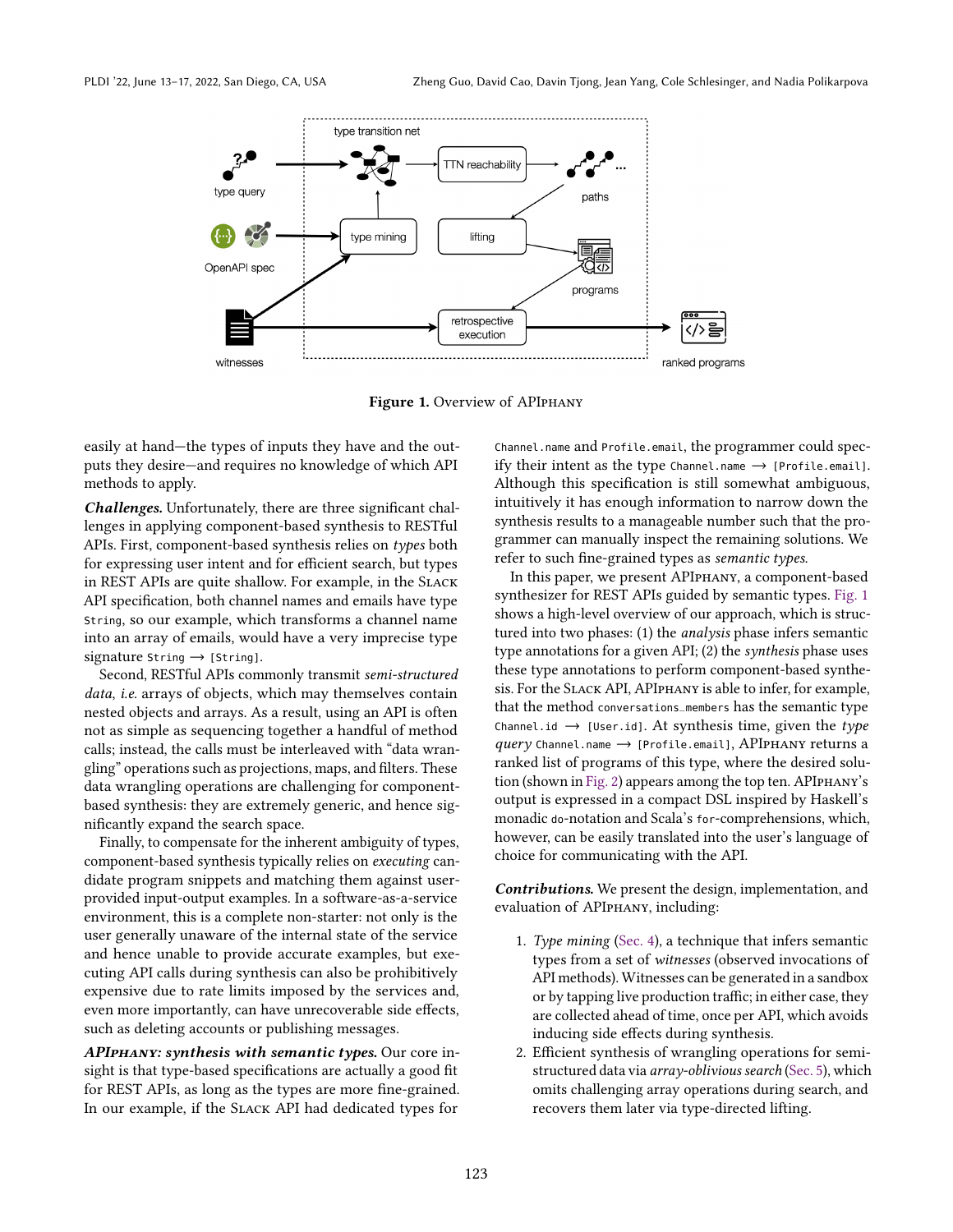<span id="page-1-0"></span>

Figure 1. Overview of APIPHANY

easily at hand—the types of inputs they have and the outputs they desire-and requires no knowledge of which API methods to apply.

Challenges. Unfortunately, there are three significant challenges in applying component-based synthesis to RESTful APIs. First, component-based synthesis relies on types both for expressing user intent and for efficient search, but types in REST APIs are quite shallow. For example, in the SLACK API specification, both channel names and emails have type String, so our example, which transforms a channel name into an array of emails, would have a very imprecise type signature String  $\rightarrow$  [String].

Second, RESTful APIs commonly transmit semi-structured data, i.e. arrays of objects, which may themselves contain nested objects and arrays. As a result, using an API is often not as simple as sequencing together a handful of method calls; instead, the calls must be interleaved with "data wranglingž operations such as projections, maps, and filters. These data wrangling operations are challenging for componentbased synthesis: they are extremely generic, and hence significantly expand the search space.

Finally, to compensate for the inherent ambiguity of types, component-based synthesis typically relies on executing candidate program snippets and matching them against userprovided input-output examples. In a software-as-a-service environment, this is a complete non-starter: not only is the user generally unaware of the internal state of the service and hence unable to provide accurate examples, but executing API calls during synthesis can also be prohibitively expensive due to rate limits imposed by the services and, even more importantly, can have unrecoverable side effects, such as deleting accounts or publishing messages.

APIphany: synthesis with semantic types. Our core insight is that type-based specifications are actually a good fit for REST APIs, as long as the types are more fine-grained. In our example, if the Slack API had dedicated types for

Channel.name and Profile.email, the programmer could specify their intent as the type Channel.name  $\rightarrow$  [Profile.email]. Although this specification is still somewhat ambiguous, intuitively it has enough information to narrow down the synthesis results to a manageable number such that the programmer can manually inspect the remaining solutions. We refer to such fine-grained types as semantic types.

In this paper, we present APIphany, a component-based synthesizer for REST APIs guided by semantic types. [Fig. 1](#page-1-0) shows a high-level overview of our approach, which is structured into two phases: (1) the analysis phase infers semantic type annotations for a given API; (2) the synthesis phase uses these type annotations to perform component-based synthesis. For the Slack API, APIphany is able to infer, for example, that the method conversations\_members has the semantic type Channel.id  $\rightarrow$  [User.id]. At synthesis time, given the type  $query$  Channel.name  $\rightarrow$  [Profile.email], APIPHANY returns a ranked list of programs of this type, where the desired solution (shown in [Fig. 2\)](#page-2-0) appears among the top ten. APIphany's output is expressed in a compact DSL inspired by Haskell's monadic do-notation and Scala's for-comprehensions, which, however, can be easily translated into the user's language of choice for communicating with the API.

Contributions. We present the design, implementation, and evaluation of APIphany, including:

- 1. Type mining [\(Sec. 4\)](#page-5-0), a technique that infers semantic types from a set of witnesses (observed invocations of API methods). Witnesses can be generated in a sandbox or by tapping live production traffic; in either case, they are collected ahead of time, once per API, which avoids inducing side effects during synthesis.
- 2. Efficient synthesis of wrangling operations for semistructured data via *array-oblivious search* [\(Sec. 5\)](#page-6-0), which omits challenging array operations during search, and recovers them later via type-directed lifting.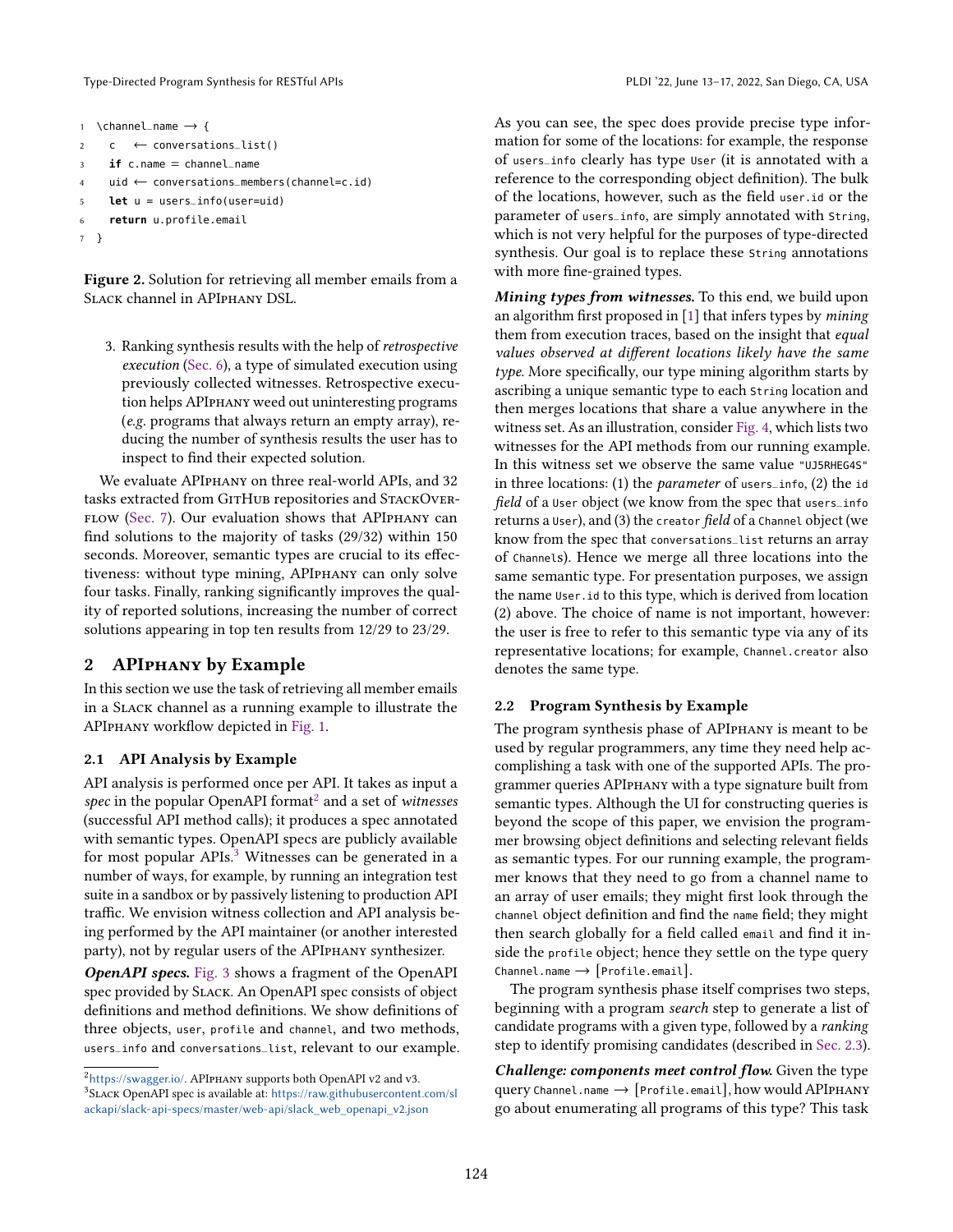Type-Directed Program Synthesis for RESTful APIs PLDI '22, June 13-17, 2022, San Diego, CA, USA

```
1 \channel_name \rightarrow {
2 \quad c \leftarrow conversations_list()
3 if c.name = channel_name
4 uid ← conversations_members(channel=c.id)
5 let u = users_info(user=uid)
     6 return u.profile.email
7 }
```
Figure 2. Solution for retrieving all member emails from a Slack channel in APIphany DSL.

3. Ranking synthesis results with the help of retrospective execution [\(Sec. 6\)](#page-8-0), a type of simulated execution using previously collected witnesses. Retrospective execution helps APIphany weed out uninteresting programs (e.g. programs that always return an empty array), reducing the number of synthesis results the user has to inspect to find their expected solution.

We evaluate APIphany on three real-world APIs, and 32 tasks extracted from GITHUB repositories and STACKOVER-FLOW [\(Sec. 7\)](#page-9-0). Our evaluation shows that APIPHANY can find solutions to the majority of tasks (29/32) within 150 seconds. Moreover, semantic types are crucial to its effectiveness: without type mining, APIphany can only solve four tasks. Finally, ranking significantly improves the quality of reported solutions, increasing the number of correct solutions appearing in top ten results from 12/29 to 23/29.

# <span id="page-2-3"></span>2 APIphany by Example

In this section we use the task of retrieving all member emails in a Slack channel as a running example to illustrate the APIphany workflow depicted in [Fig. 1.](#page-1-0)

## 2.1 API Analysis by Example

API analysis is performed once per API. It takes as input a spec in the popular OpenAPI format $^2$  $^2$  and a set of witnesses (successful API method calls); it produces a spec annotated with semantic types. OpenAPI specs are publicly available for most popular APIs. $3$  Witnesses can be generated in a number of ways, for example, by running an integration test suite in a sandbox or by passively listening to production API traffic. We envision witness collection and API analysis being performed by the API maintainer (or another interested party), not by regular users of the APIphany synthesizer.

**OpenAPI specs.** [Fig. 3](#page-3-0) shows a fragment of the OpenAPI spec provided by Slack. An OpenAPI spec consists of object definitions and method definitions. We show definitions of three objects, user, profile and channel, and two methods, users\_info and conversations\_list, relevant to our example. As you can see, the spec does provide precise type information for some of the locations: for example, the response of users\_info clearly has type User (it is annotated with a reference to the corresponding object definition). The bulk of the locations, however, such as the field user.id or the parameter of users\_info, are simply annotated with String, which is not very helpful for the purposes of type-directed synthesis. Our goal is to replace these String annotations with more fine-grained types.

Mining types from witnesses. To this end, we build upon an algorithm first proposed in [\[1\]](#page-13-2) that infers types by mining them from execution traces, based on the insight that equal values observed at different locations likely have the same  $t$ *vpe*. More specifically, our type mining algorithm starts by ascribing a unique semantic type to each String location and then merges locations that share a value anywhere in the witness set. As an illustration, consider [Fig. 4,](#page-3-1) which lists two witnesses for the API methods from our running example. In this witness set we observe the same value "UJ5RHEG4S" in three locations: (1) the parameter of users\_info, (2) the id field of a User object (we know from the spec that users\_info returns a User), and (3) the creator field of a Channel object (we know from the spec that conversations\_list returns an array of Channels). Hence we merge all three locations into the same semantic type. For presentation purposes, we assign the name User.id to this type, which is derived from location (2) above. The choice of name is not important, however: the user is free to refer to this semantic type via any of its representative locations; for example, Channel.creator also denotes the same type.

## 2.2 Program Synthesis by Example

The program synthesis phase of APIphany is meant to be used by regular programmers, any time they need help accomplishing a task with one of the supported APIs. The programmer queries APIphany with a type signature built from semantic types. Although the UI for constructing queries is beyond the scope of this paper, we envision the programmer browsing object definitions and selecting relevant fields as semantic types. For our running example, the programmer knows that they need to go from a channel name to an array of user emails; they might first look through the channel object definition and find the name field; they might then search globally for a field called email and find it inside the profile object; hence they settle on the type query Channel.name  $\rightarrow$  [Profile.email].

The program synthesis phase itself comprises two steps, beginning with a program search step to generate a list of candidate programs with a given type, followed by a ranking step to identify promising candidates (described in [Sec. 2.3\)](#page-3-2).

Challenge: components meet control flow. Given the type query Channel.name → [Profile.email], how would APIPHANY go about enumerating all programs of this type? This task

<span id="page-2-2"></span><span id="page-2-1"></span> $^{2}$ <https://swagger.io/>. APIphany supports both OpenAPI v2 and v3. <sup>3</sup>Slack OpenAPI spec is available at: [https://raw.githubusercontent.com/sl](https://raw.githubusercontent.com/slackapi/slack-api-specs/master/web-api/slack_web_openapi_v2.json) [ackapi/slack-api-specs/master/web-api/slack\\_web\\_openapi\\_v2.json](https://raw.githubusercontent.com/slackapi/slack-api-specs/master/web-api/slack_web_openapi_v2.json)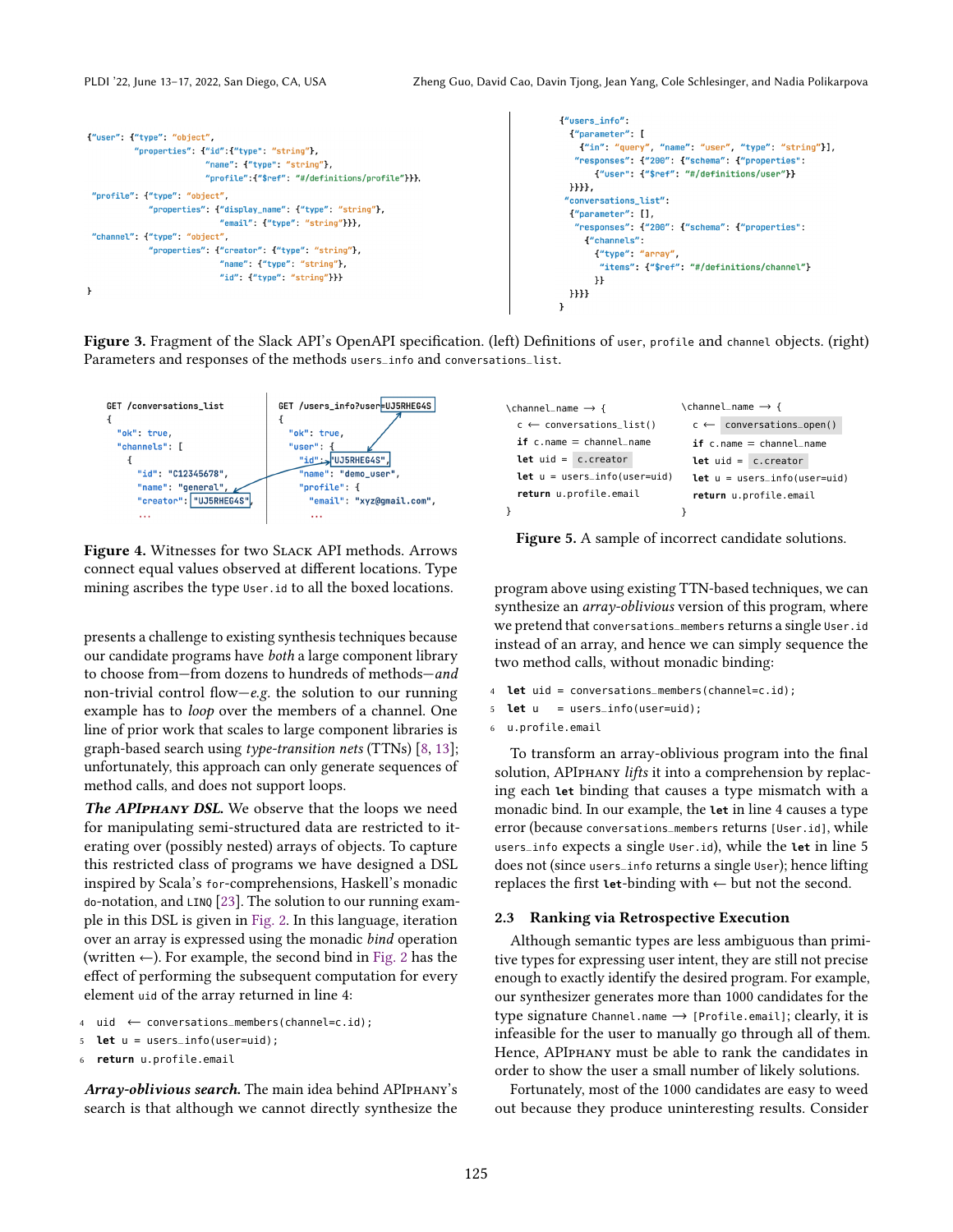```
["users info":
                                                                                                               f"parameter": [
{"user": {"type": "object",
                                                                                                                  {'"in": "query", "name": "user", "type": "string"}],
           "properties": {"id": {"type": "string"},
                                                                                                                 "responses": {"200": {"schema": {"properties":
                           "name": {"type": "string"},
                                                                                                                     {\text{\{\n    "user":\n    {}} \quad {\text{\n    "sref{\n    "#/definitions/user"\n    }}}}}"profile":{"$ref": "#/definitions/profile"}}},
                                                                                                               H"profile": {"type": "object",
                                                                                                               "conversations_list":
              "properties": {"display_name": {"type": "string"},
                                                                                                               {\lq}"parameter": [],
                               'email": {"type": "string"}}},
                                                                                                                 "responses": {"200": {"schema": {"properties":
 "channel": {"type": "object",
                                                                                                                   {"channels";
              "properties": {"creator": {"type": "string"},
                                                                                                                     {"type": "array"
                               "name": {"type": "string"},
                                                                                                                      "items": {"$ref": "#/definitions/channel"}
                               "id": {"type": "string"}}}
                                                                                                                     \mathbf{H}\overline{ }\{\} \} \}γ
```
Figure 3. Fragment of the Slack API's OpenAPI specification. (left) Definitions of user, profile and channel objects. (right) Parameters and responses of the methods users\_info and conversations\_list.

<span id="page-3-1"></span>

Figure 4. Witnesses for two Slack API methods. Arrows connect equal values observed at different locations. Type mining ascribes the type User.id to all the boxed locations.

presents a challenge to existing synthesis techniques because our candidate programs have both a large component library to choose from–from dozens to hundreds of methods–and non-trivial control flow $-e.g.$  the solution to our running example has to loop over the members of a channel. One line of prior work that scales to large component libraries is graph-based search using type-transition nets (TTNs) [\[8,](#page-13-0) [13\]](#page-13-3); unfortunately, this approach can only generate sequences of method calls, and does not support loops.

The APIPHANY DSL. We observe that the loops we need for manipulating semi-structured data are restricted to iterating over (possibly nested) arrays of objects. To capture this restricted class of programs we have designed a DSL inspired by Scala's for-comprehensions, Haskell's monadic do-notation, and LINQ [\[23\]](#page-14-5). The solution to our running example in this DSL is given in [Fig. 2.](#page-2-0) In this language, iteration over an array is expressed using the monadic bind operation (written  $\leftarrow$ ). For example, the second bind in [Fig. 2](#page-2-0) has the effect of performing the subsequent computation for every element uid of the array returned in line 4:

- <sup>4</sup> uid ← conversations\_members(channel=c.id);
- 5 **let** u = users\_info(user=uid);

```
6 return u.profile.email
```
Array-oblivious search. The main idea behind APIPHANY's search is that although we cannot directly synthesize the

<span id="page-3-3"></span>

| $\lambda$ channel_name $\rightarrow$ { | $\lambda$ channel_name $\rightarrow$ { |  |  |  |
|----------------------------------------|----------------------------------------|--|--|--|
| $c \leftarrow$ conversations_list()    | $c \leftarrow$ conversations_open()    |  |  |  |
| $if c.name = channel_name$             | $if c.name = channel_name$             |  |  |  |
| Let $uid = c.createator$               | Let $uid = c.createator$               |  |  |  |
| $let u = users_info(user=uid)$         | $let u = users_info(user=uid)$         |  |  |  |
| return u.profile.email                 | return u.profile.email                 |  |  |  |
|                                        |                                        |  |  |  |

Figure 5. A sample of incorrect candidate solutions.

program above using existing TTN-based techniques, we can synthesize an *array-oblivious* version of this program, where we pretend that conversations\_members returns a single User.id instead of an array, and hence we can simply sequence the two method calls, without monadic binding:

- 4 **let** uid = conversations\_members(channel=c.id);
- 5 **let** u = users\_info(user=uid);
- 6 u.profile.email

To transform an array-oblivious program into the final solution, APIPHANY *lifts* it into a comprehension by replacing each **let** binding that causes a type mismatch with a monadic bind. In our example, the **let** in line 4 causes a type error (because conversations\_members returns [User.id], while users\_info expects a single User.id), while the **let** in line 5 does not (since users\_info returns a single User); hence lifting replaces the first **let**-binding with ← but not the second.

#### <span id="page-3-2"></span>2.3 Ranking via Retrospective Execution

Although semantic types are less ambiguous than primitive types for expressing user intent, they are still not precise enough to exactly identify the desired program. For example, our synthesizer generates more than 1000 candidates for the type signature Channel.name → [Profile.email]; clearly, it is infeasible for the user to manually go through all of them. Hence, APIphany must be able to rank the candidates in order to show the user a small number of likely solutions.

Fortunately, most of the 1000 candidates are easy to weed out because they produce uninteresting results. Consider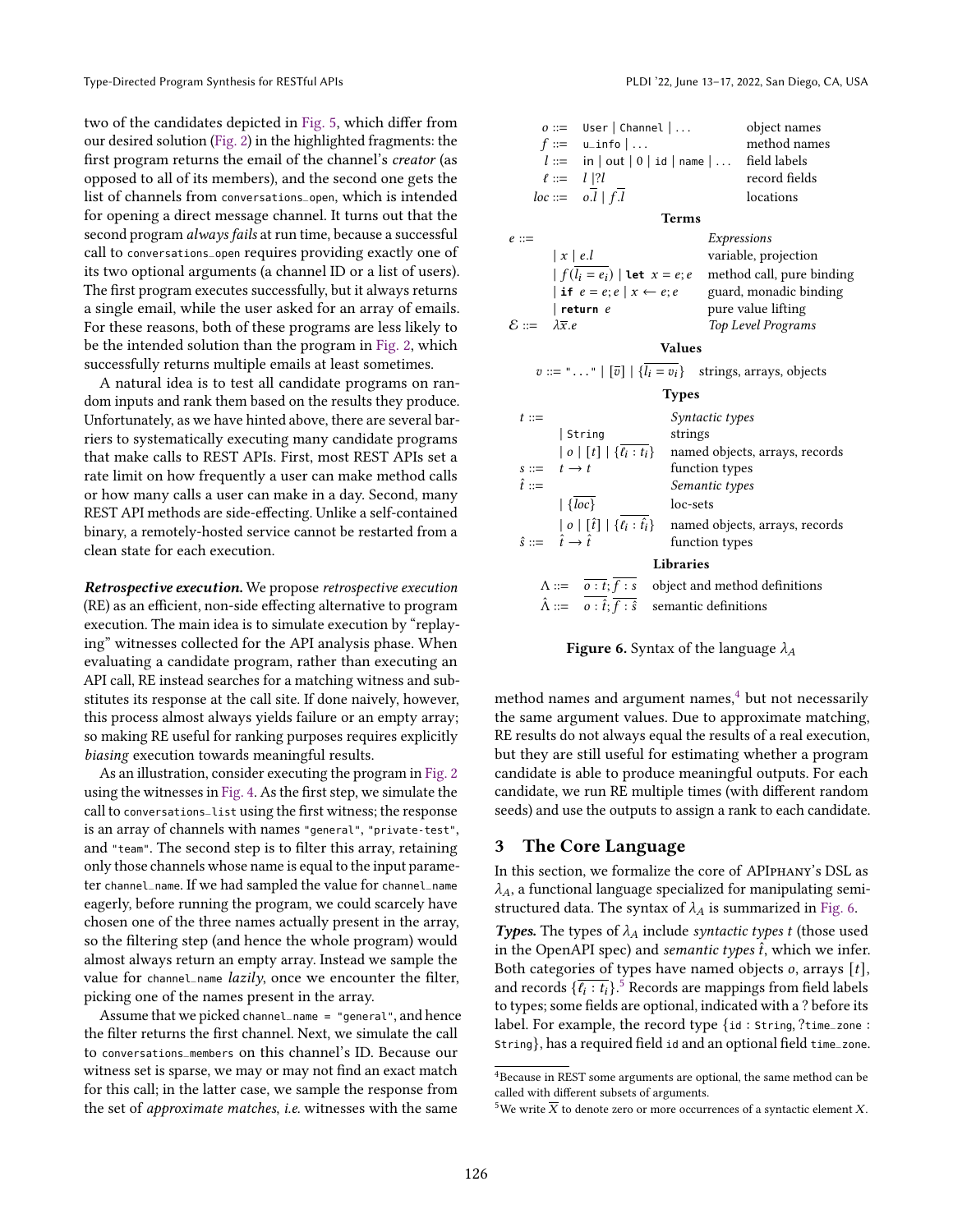two of the candidates depicted in [Fig. 5,](#page-3-3) which differ from our desired solution [\(Fig. 2\)](#page-2-0) in the highlighted fragments: the first program returns the email of the channel's creator (as opposed to all of its members), and the second one gets the list of channels from conversations\_open, which is intended for opening a direct message channel. It turns out that the second program *always fails* at run time, because a successful call to conversations\_open requires providing exactly one of its two optional arguments (a channel ID or a list of users). The first program executes successfully, but it always returns a single email, while the user asked for an array of emails. For these reasons, both of these programs are less likely to be the intended solution than the program in [Fig. 2,](#page-2-0) which successfully returns multiple emails at least sometimes.

A natural idea is to test all candidate programs on random inputs and rank them based on the results they produce. Unfortunately, as we have hinted above, there are several barriers to systematically executing many candidate programs that make calls to REST APIs. First, most REST APIs set a rate limit on how frequently a user can make method calls or how many calls a user can make in a day. Second, many REST API methods are side-effecting. Unlike a self-contained binary, a remotely-hosted service cannot be restarted from a clean state for each execution.

Retrospective execution. We propose retrospective execution (RE) as an efficient, non-side effecting alternative to program execution. The main idea is to simulate execution by "replaying" witnesses collected for the API analysis phase. When evaluating a candidate program, rather than executing an API call, RE instead searches for a matching witness and substitutes its response at the call site. If done naively, however, this process almost always yields failure or an empty array; so making RE useful for ranking purposes requires explicitly biasing execution towards meaningful results.

As an illustration, consider executing the program in [Fig. 2](#page-2-0) using the witnesses in [Fig. 4.](#page-3-1) As the first step, we simulate the call to conversations\_list using the first witness; the response is an array of channels with names "general", "private-test", and "team". The second step is to filter this array, retaining only those channels whose name is equal to the input parameter channel\_name. If we had sampled the value for channel\_name eagerly, before running the program, we could scarcely have chosen one of the three names actually present in the array, so the filtering step (and hence the whole program) would almost always return an empty array. Instead we sample the value for channel\_name *lazily*, once we encounter the filter, picking one of the names present in the array.

Assume that we picked channel\_name = "general", and hence the filter returns the first channel. Next, we simulate the call to conversations\_members on this channel's ID. Because our witness set is sparse, we may or may not find an exact match for this call; in the latter case, we sample the response from the set of approximate matches, i.e. witnesses with the same

<span id="page-4-1"></span>

| $o ::=$ User   Channel  <br>object names                                          |                                                                                                                                                                              |                  |                                                                             |  |  |  |
|-----------------------------------------------------------------------------------|------------------------------------------------------------------------------------------------------------------------------------------------------------------------------|------------------|-----------------------------------------------------------------------------|--|--|--|
|                                                                                   | $f ::=$ u_info $  \dots$                                                                                                                                                     |                  | method names                                                                |  |  |  |
| $l ::= \text{in}   \text{out}   0   \text{id}   \text{name}   \dots$ field labels |                                                                                                                                                                              |                  |                                                                             |  |  |  |
|                                                                                   | $\ell ::= \quad l \mid ?l$                                                                                                                                                   |                  | record fields                                                               |  |  |  |
|                                                                                   | $loc ::= \overline{o}.\overline{l}   f.\overline{l}$                                                                                                                         |                  | locations                                                                   |  |  |  |
|                                                                                   |                                                                                                                                                                              | <b>Terms</b>     |                                                                             |  |  |  |
| $e ::=$                                                                           |                                                                                                                                                                              |                  | Expressions                                                                 |  |  |  |
|                                                                                   | $\vert x \vert$ e.l                                                                                                                                                          |                  | variable, projection                                                        |  |  |  |
|                                                                                   |                                                                                                                                                                              |                  | $\left  \int (l_i = e_i) \right $ let $x = e$ ; e method call, pure binding |  |  |  |
|                                                                                   |                                                                                                                                                                              |                  | if $e = e$ ; $e   x \leftarrow e$ ; $e$ guard, monadic binding              |  |  |  |
|                                                                                   | $ $ return $e$                                                                                                                                                               |                  | pure value lifting                                                          |  |  |  |
| $\varepsilon ::=$                                                                 | $\lambda \overline{x}.e$                                                                                                                                                     |                  | Top Level Programs                                                          |  |  |  |
|                                                                                   |                                                                                                                                                                              | <b>Values</b>    |                                                                             |  |  |  |
|                                                                                   | $v ::=$ "" $ [\overline{v}]   \{\overline{l_i} = v_i\}$ strings, arrays, objects                                                                                             |                  |                                                                             |  |  |  |
|                                                                                   |                                                                                                                                                                              | <b>Types</b>     |                                                                             |  |  |  |
| $t ::=$                                                                           |                                                                                                                                                                              | Syntactic types  |                                                                             |  |  |  |
|                                                                                   | String                                                                                                                                                                       | strings          |                                                                             |  |  |  |
|                                                                                   |                                                                                                                                                                              |                  | $ o [t]  \{\overline{\ell_i:t_i}\}$ named objects, arrays, records          |  |  |  |
| $s ::= t \rightarrow t$                                                           |                                                                                                                                                                              | function types   |                                                                             |  |  |  |
| $\hat{t} ::=$                                                                     |                                                                                                                                                                              | Semantic types   |                                                                             |  |  |  |
|                                                                                   | $\left\lfloor \sqrt{\textit{loc}} \right\rfloor$                                                                                                                             | loc-sets         |                                                                             |  |  |  |
|                                                                                   | $  o   [\hat{t}]   \{ \ell_i : \hat{t}_i \}$                                                                                                                                 |                  | named objects, arrays, records                                              |  |  |  |
| $\hat{s} ::= \hat{t} \rightarrow \hat{t}$                                         |                                                                                                                                                                              | function types   |                                                                             |  |  |  |
|                                                                                   |                                                                                                                                                                              | <b>Libraries</b> |                                                                             |  |  |  |
|                                                                                   |                                                                                                                                                                              |                  |                                                                             |  |  |  |
|                                                                                   | $\hat{\Lambda} ::= \overline{\overline{o:t}; \overline{f:s}}$ object and method definitions<br>$\hat{\Lambda} ::= \overline{o:\hat{t}; \overline{f:s}}$ semantic definitions |                  |                                                                             |  |  |  |

**Figure 6.** Syntax of the language  $\lambda_A$ 

method names and argument names, $4$  but not necessarily the same argument values. Due to approximate matching, RE results do not always equal the results of a real execution, but they are still useful for estimating whether a program candidate is able to produce meaningful outputs. For each candidate, we run RE multiple times (with different random seeds) and use the outputs to assign a rank to each candidate.

# 3 The Core Language

In this section, we formalize the core of APIphany's DSL as  $\lambda_A$ , a functional language specialized for manipulating semistructured data. The syntax of  $\lambda_A$  is summarized in [Fig. 6.](#page-4-1)

**Types.** The types of  $\lambda_A$  include syntactic types t (those used in the OpenAPI spec) and semantic types  $\hat{t}$ , which we infer. Both categories of types have named objects  $o$ , arrays  $[t]$ , and records  $\{\overline{\ell_i : t_i}\}$ .<sup>[5](#page-4-2)</sup> Records are mappings from field labels to types; some fields are optional, indicated with a ? before its label. For example, the record type {id : String, ?time\_zone : String}, has a required field id and an optional field time\_zone.

<span id="page-4-0"></span> ${}^{4}$  Because in REST some arguments are optional, the same method can be called with different subsets of arguments.

<span id="page-4-2"></span><sup>&</sup>lt;sup>5</sup>We write  $\overline{X}$  to denote zero or more occurrences of a syntactic element X.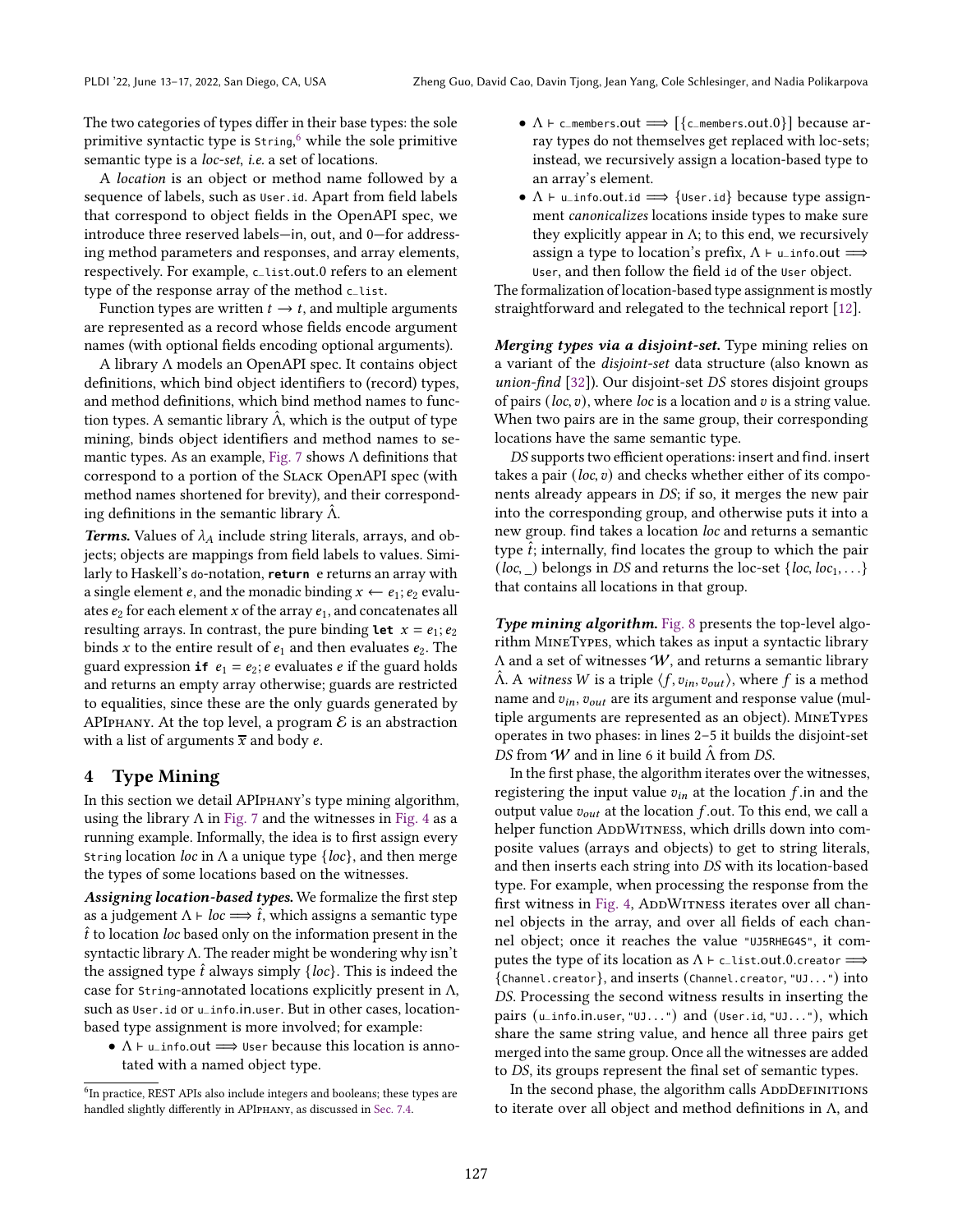The two categories of types differ in their base types: the sole primitive syntactic type is String, [6](#page-5-1) while the sole primitive semantic type is a *loc-set*, *i.e.* a set of locations.

A location is an object or method name followed by a sequence of labels, such as User.id. Apart from field labels that correspond to object fields in the OpenAPI spec, we introduce three reserved labels-in, out, and 0-for addressing method parameters and responses, and array elements, respectively. For example, c\_list.out.0 refers to an element type of the response array of the method c\_list.

Function types are written  $t \rightarrow t$ , and multiple arguments are represented as a record whose fields encode argument names (with optional fields encoding optional arguments).

A library Λ models an OpenAPI spec. It contains object definitions, which bind object identifiers to (record) types, and method definitions, which bind method names to function types. A semantic library  $\hat{\Lambda}$ , which is the output of type mining, binds object identifiers and method names to se-mantic types. As an example, [Fig. 7](#page-6-1) shows  $\Lambda$  definitions that correspond to a portion of the Slack OpenAPI spec (with method names shortened for brevity), and their corresponding definitions in the semantic library  $\Lambda$ .

**Terms.** Values of  $\lambda_A$  include string literals, arrays, and objects; objects are mappings from field labels to values. Similarly to Haskell's do-notation, **return** e returns an array with a single element e, and the monadic binding  $x \leftarrow e_1$ ;  $e_2$  evaluates  $e_2$  for each element x of the array  $e_1$ , and concatenates all resulting arrays. In contrast, the pure binding **let**  $x = e_1$ ;  $e_2$ binds x to the entire result of  $e_1$  and then evaluates  $e_2$ . The guard expression **if**  $e_1 = e_2$ ; *e* evaluates *e* if the guard holds and returns an empty array otherwise; guards are restricted to equalities, since these are the only guards generated by APIPHANY. At the top level, a program  $\mathcal E$  is an abstraction with a list of arguments  $\bar{x}$  and body e.

# <span id="page-5-0"></span>4 Type Mining

In this section we detail APIphany's type mining algorithm, using the library  $\Lambda$  in [Fig. 7](#page-6-1) and the witnesses in [Fig. 4](#page-3-1) as a running example. Informally, the idea is to first assign every String location loc in  $\Lambda$  a unique type {loc}, and then merge the types of some locations based on the witnesses.

Assigning location-based types. We formalize the first step as a judgement  $\Lambda \vdash loc \Longrightarrow \hat{t}$ , which assigns a semantic type  $\hat{t}$  to location *loc* based only on the information present in the syntactic library Λ. The reader might be wondering why isn't the assigned type  $\hat{t}$  always simply  $\{loc\}$ . This is indeed the case for String-annotated locations explicitly present in Λ, such as User.id or u\_info.in.user. But in other cases, locationbased type assignment is more involved; for example:

•  $\Lambda \vdash \mathsf{u}\_$ info.out  $\Longrightarrow$  User because this location is annotated with a named object type.

- $\Lambda \vdash$  c\_members.out  $\Longrightarrow$   $\{\{\text{c{\_}members.out 0}\}\}\$  because array types do not themselves get replaced with loc-sets; instead, we recursively assign a location-based type to an array's element.
- $\Lambda \vdash$  u\_info.out.id  $\implies$  {User.id} because type assignment canonicalizes locations inside types to make sure they explicitly appear in  $\Lambda$ ; to this end, we recursively assign a type to location's prefix,  $\Lambda \vdash \mathsf{u}\_$ info.out  $\Longrightarrow$ User, and then follow the field id of the User object.

The formalization of location-based type assignment is mostly straightforward and relegated to the technical report [\[12\]](#page-13-4).

Merging types via a disjoint-set. Type mining relies on a variant of the disjoint-set data structure (also known as union-find  $[32]$ ). Our disjoint-set *DS* stores disjoint groups of pairs (loc,  $v$ ), where loc is a location and  $v$  is a string value. When two pairs are in the same group, their corresponding locations have the same semantic type.

DS supports two efficient operations: insert and find. insert takes a pair  $(loc, v)$  and checks whether either of its components already appears in DS; if so, it merges the new pair into the corresponding group, and otherwise puts it into a new group. find takes a location loc and returns a semantic type  $\hat{t}$ ; internally, find locates the group to which the pair (*loc*,  $\Box$ ) belongs in *DS* and returns the loc-set {*loc*, *loc*<sub>1</sub>, ...} that contains all locations in that group.

Type mining algorithm. [Fig. 8](#page-6-1) presents the top-level algorithm MineTypes, which takes as input a syntactic library  $\Lambda$  and a set of witnesses  $W$ , and returns a semantic library  $Λ$ . A witness W is a triple  $\langle f, v_{in}, v_{out} \rangle$ , where f is a method name and  $v_{in}$ ,  $v_{out}$  are its argument and response value (multiple arguments are represented as an object). MineTypes operates in two phases: in lines 2-5 it builds the disjoint-set DS from W and in line 6 it build  $\hat{\Lambda}$  from DS.

In the first phase, the algorithm iterates over the witnesses, registering the input value  $v_{in}$  at the location f in and the output value  $v_{out}$  at the location  $f$  out. To this end, we call a helper function ADDWITNESS, which drills down into composite values (arrays and objects) to get to string literals, and then inserts each string into DS with its location-based type. For example, when processing the response from the first witness in [Fig. 4,](#page-3-1) ADDWITNESS iterates over all channel objects in the array, and over all fields of each channel object; once it reaches the value "UJ5RHEG4S", it computes the type of its location as  $\Lambda \vdash \mathsf{c}\_$ list.out.0.creator  $\Longrightarrow$ {Channel.creator}, and inserts (Channel.creator, "UJ...") into DS. Processing the second witness results in inserting the pairs (u\_info.in.user, "UJ...") and (User.id, "UJ..."), which share the same string value, and hence all three pairs get merged into the same group. Once all the witnesses are added to DS, its groups represent the final set of semantic types.

In the second phase, the algorithm calls ADDDEFINITIONS to iterate over all object and method definitions in Λ, and

<span id="page-5-1"></span><sup>&</sup>lt;sup>6</sup>In practice, REST APIs also include integers and booleans; these types are handled slightly differently in APIPHANY, as discussed in [Sec. 7.4.](#page-12-0)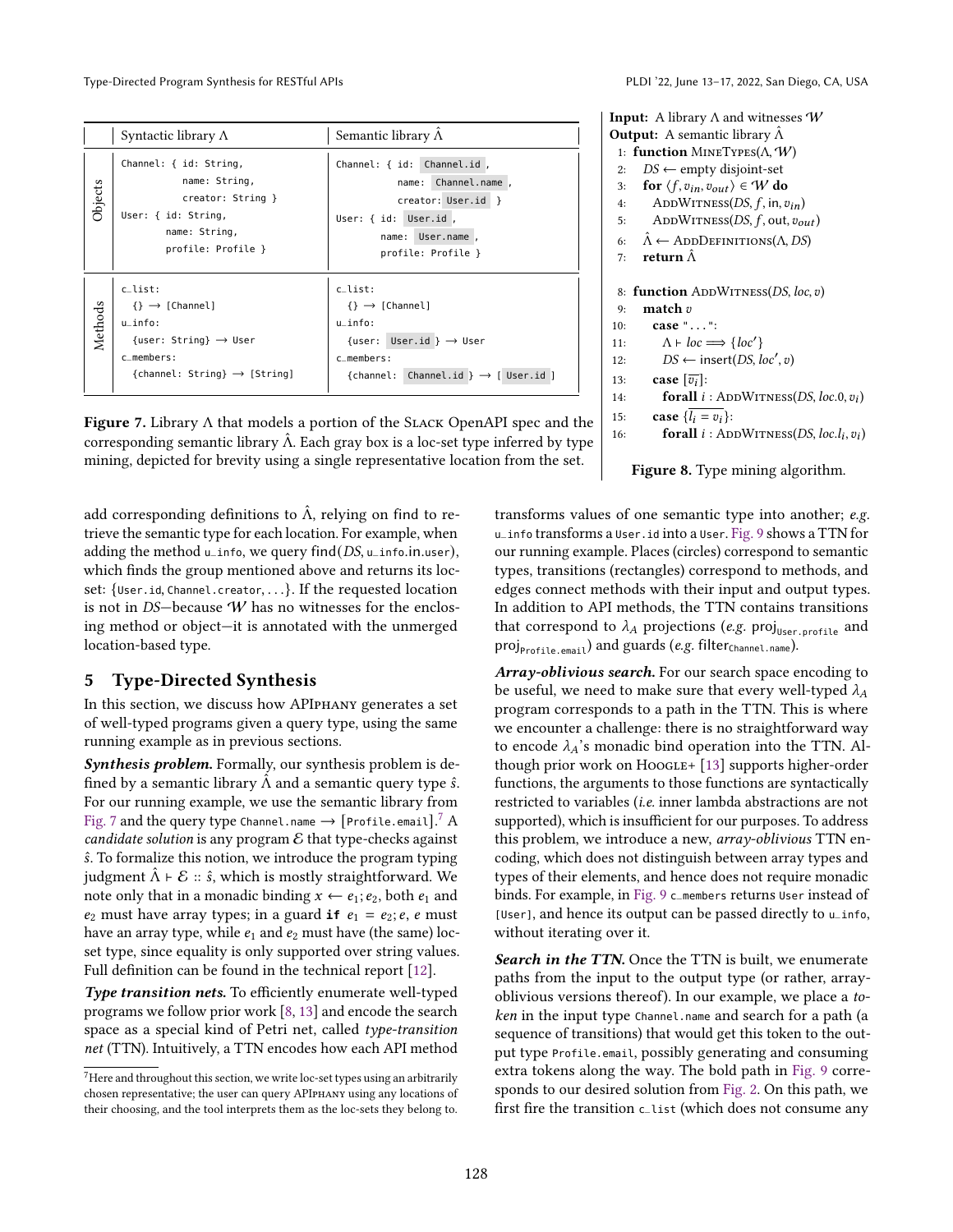Type-Directed Program Synthesis for RESTful APIs PLDI '22, June 13-17, 2022, San Diego, CA, USA

<span id="page-6-1"></span>

|         | Syntactic library $\Lambda$                                                                                                                            | Semantic library $\hat{\Lambda}$                                                                                                                            |
|---------|--------------------------------------------------------------------------------------------------------------------------------------------------------|-------------------------------------------------------------------------------------------------------------------------------------------------------------|
| Objects | Channel: { id: String,<br>name: String,<br>creator: String }<br>User: { id: String,<br>name: String,<br>profile: Profile }                             | Channel: { id: Channel.id,<br>name: Channel.name.<br>creator: User.id }<br>User: { id: User.id,<br>name: User.name,<br>profile: Profile }                   |
| Methods | c list:<br>$\{\} \rightarrow$ [Channel]<br>$u$ _info:<br>$\{user: String\} \rightarrow User$<br>c members:<br>${channel: String} \rightarrow [String]$ | c list:<br>$\{\} \rightarrow$ [Channel]<br>u info:<br>{user: User.id } $\rightarrow$ User<br>c members:<br>{channel: Channel.id } $\rightarrow$ [ User.id ] |

**Figure 7.** Library  $\Lambda$  that models a portion of the SLACK OpenAPI spec and the corresponding semantic library  $\hat{\Lambda}$ . Each gray box is a loc-set type inferred by type mining, depicted for brevity using a single representative location from the set.

add corresponding definitions to  $\hat{\Lambda}$ , relying on find to retrieve the semantic type for each location. For example, when adding the method  $u$ \_info, we query find( $DS$ ,  $u$ \_info.in.user), which finds the group mentioned above and returns its locset: {User.id, Channel.creator, . . .}. If the requested location is not in DS-because  $W$  has no witnesses for the enclosing method or object-it is annotated with the unmerged location-based type.

# <span id="page-6-0"></span>5 Type-Directed Synthesis

In this section, we discuss how APIphany generates a set of well-typed programs given a query type, using the same running example as in previous sections.

Synthesis problem. Formally, our synthesis problem is defined by a semantic library  $\hat{\Lambda}$  and a semantic query type  $\hat{s}$ . For our running example, we use the semantic library from [Fig. 7](#page-6-1) and the query type Channel.name  $\rightarrow$  [Profile.email]. $^7$  $^7$   $\rm A$ candidate solution is any program  $\mathcal E$  that type-checks against ˆ. To formalize this notion, we introduce the program typing judgment  $Λ$  ⊢  $E$  ::  $\hat{s}$ , which is mostly straightforward. We note only that in a monadic binding  $x \leftarrow e_1; e_2$ , both  $e_1$  and  $e_2$  must have array types; in a guard **if**  $e_1 = e_2$ ; *e*, *e* must have an array type, while  $e_1$  and  $e_2$  must have (the same) locset type, since equality is only supported over string values. Full definition can be found in the technical report [\[12\]](#page-13-4).

Type transition nets. To efficiently enumerate well-typed programs we follow prior work [\[8,](#page-13-0) [13\]](#page-13-3) and encode the search space as a special kind of Petri net, called type-transition net (TTN). Intuitively, a TTN encodes how each API method

**Input:** A library  $\Lambda$  and witnesses  $W$ **Output:** A semantic library  $\hat{\Lambda}$ 1: function MineTypes(Λ,W) 2:  $DS \leftarrow \text{empty disjoint-set}$ 3: for  $\langle f, v_{in}, v_{out} \rangle \in W$  do 4: ADDWITNESS( $DS, f, in, v_{in}$ ) 5: ADDWITNESS( $DS, f, out, v_{out}$ ) 6:  $\hat{\Lambda} \leftarrow$  ADDDEFINITIONS( $\Lambda$ , DS) 7: **return**  $\hat{\Lambda}$ 8: function  $\text{ADDW}$ ITNESS( $DS, loc, v$ ) 9: match 10: case "...": 11:  $\Lambda \vdash loc \Longrightarrow \{loc'\}$ 12:  $DS \leftarrow insert(DS, loc', v)$ 13: **case**  $[\overline{v_i}]$ : 14: **forall**  $i$  : ADDWITNESS(*DS*, *loc.*0,  $v_i$ ) 15: **case**  $\{l_i = v_i\}$ :

16: **forall**  $i$ : ADDWITNESS(*DS*, loc. $l_i$ ,  $v_i$ )



transforms values of one semantic type into another; e.g. u\_info transforms a User.id into a User. [Fig. 9](#page-7-0) shows a TTN for our running example. Places (circles) correspond to semantic types, transitions (rectangles) correspond to methods, and edges connect methods with their input and output types. In addition to API methods, the TTN contains transitions that correspond to  $\lambda_A$  projections (e.g. proj<sub>User.profile</sub> and proj<sub>Profile.email</sub>) and guards (e.g. filter<sub>Channel.name</sub>).

Array-oblivious search. For our search space encoding to be useful, we need to make sure that every well-typed  $\lambda_A$ program corresponds to a path in the TTN. This is where we encounter a challenge: there is no straightforward way to encode  $\lambda_A$ 's monadic bind operation into the TTN. Al-though prior work on Hoogle+ [\[13\]](#page-13-3) supports higher-order functions, the arguments to those functions are syntactically restricted to variables (i.e. inner lambda abstractions are not supported), which is insufficient for our purposes. To address this problem, we introduce a new, array-oblivious TTN encoding, which does not distinguish between array types and types of their elements, and hence does not require monadic binds. For example, in [Fig. 9](#page-7-0) c\_members returns User instead of [User], and hence its output can be passed directly to u\_info, without iterating over it.

Search in the TTN. Once the TTN is built, we enumerate paths from the input to the output type (or rather, arrayoblivious versions thereof). In our example, we place a token in the input type Channel.name and search for a path (a sequence of transitions) that would get this token to the output type Profile.email, possibly generating and consuming extra tokens along the way. The bold path in [Fig. 9](#page-7-0) corresponds to our desired solution from [Fig. 2.](#page-2-0) On this path, we first fire the transition c\_list (which does not consume any

<span id="page-6-2"></span> ${\rm ^7}$  Here and throughout this section, we write loc-set types using an arbitrarily chosen representative; the user can query APIphany using any locations of their choosing, and the tool interprets them as the loc-sets they belong to.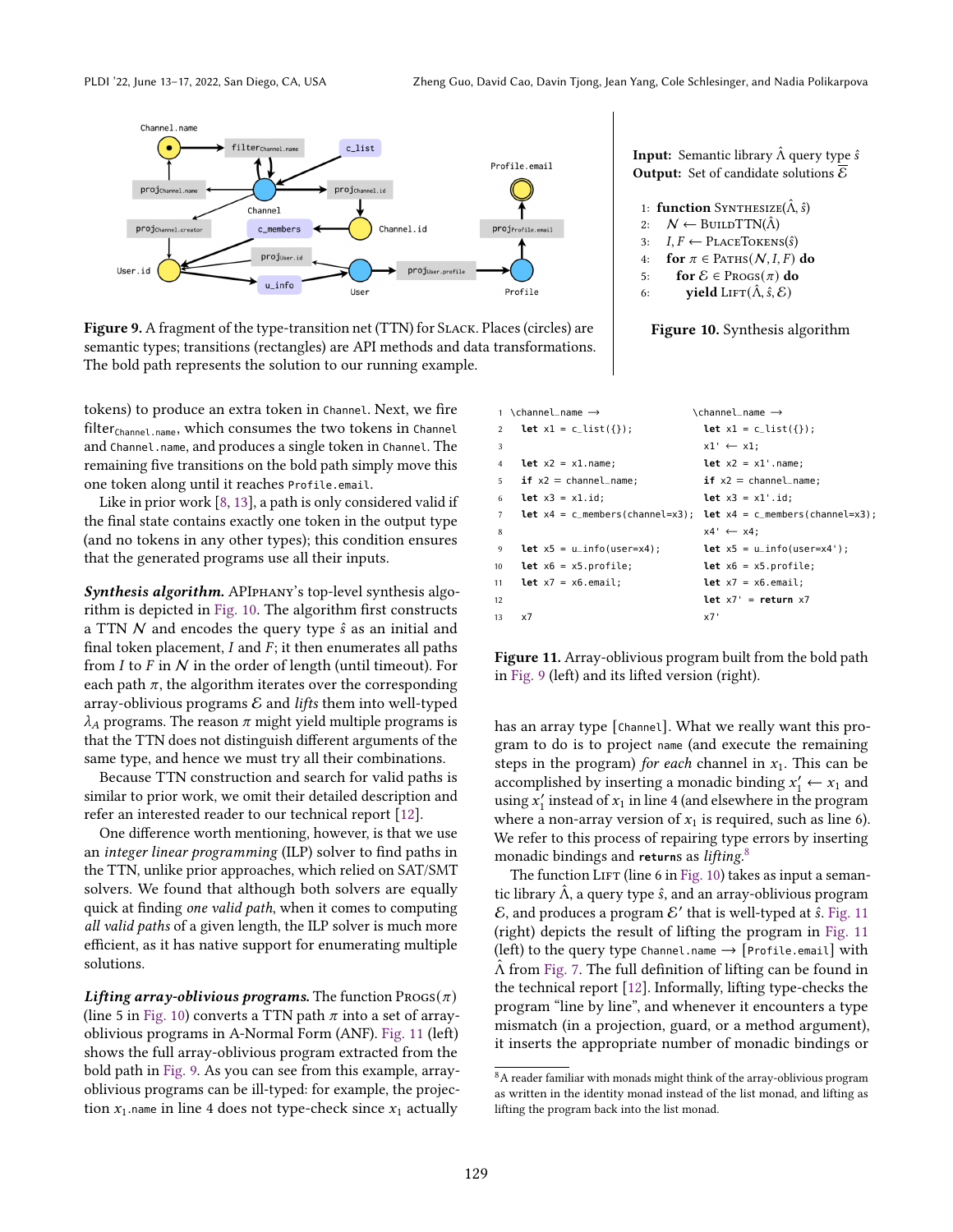<span id="page-7-0"></span>

Figure 9. A fragment of the type-transition net (TTN) for Slack. Places (circles) are semantic types; transitions (rectangles) are API methods and data transformations. The bold path represents the solution to our running example.

tokens) to produce an extra token in Channel. Next, we fire filter<sub>Channel.name</sub>, which consumes the two tokens in Channel and Channel.name, and produces a single token in Channel. The remaining five transitions on the bold path simply move this one token along until it reaches Profile.email.

Like in prior work [\[8,](#page-13-0) [13\]](#page-13-3), a path is only considered valid if the final state contains exactly one token in the output type (and no tokens in any other types); this condition ensures that the generated programs use all their inputs.

Synthesis algorithm. APIPHANY's top-level synthesis algorithm is depicted in [Fig. 10.](#page-7-0) The algorithm first constructs a TTN  $N$  and encodes the query type  $\hat{s}$  as an initial and final token placement,  $I$  and  $F$ ; it then enumerates all paths from  $I$  to  $F$  in  $N$  in the order of length (until timeout). For each path  $\pi$ , the algorithm iterates over the corresponding array-oblivious programs  $\mathcal E$  and *lifts* them into well-typed  $\lambda_A$  programs. The reason  $\pi$  might yield multiple programs is that the TTN does not distinguish different arguments of the same type, and hence we must try all their combinations.

Because TTN construction and search for valid paths is similar to prior work, we omit their detailed description and refer an interested reader to our technical report [\[12\]](#page-13-4).

One difference worth mentioning, however, is that we use an integer linear programming (ILP) solver to find paths in the TTN, unlike prior approaches, which relied on SAT/SMT solvers. We found that although both solvers are equally quick at finding one valid path, when it comes to computing all valid paths of a given length, the ILP solver is much more efficient, as it has native support for enumerating multiple solutions.

Lifting array-oblivious programs. The function  $\text{Procs}(\pi)$ (line 5 in [Fig. 10\)](#page-7-0) converts a TTN path  $\pi$  into a set of arrayoblivious programs in A-Normal Form (ANF). [Fig. 11](#page-7-1) (left) shows the full array-oblivious program extracted from the bold path in [Fig. 9.](#page-7-0) As you can see from this example, arrayoblivious programs can be ill-typed: for example, the projection  $x_1$  name in line 4 does not type-check since  $x_1$  actually

**Input:** Semantic library  $\hat{\Lambda}$  query type  $\hat{s}$ **Output:** Set of candidate solutions  $\overline{\mathcal{E}}$ 

```
1: function SYNTHESIZE(\hat{\Lambda}, \hat{s})2: N \leftarrow \text{BULDTTN}(\hat{\Lambda})3: I, F \leftarrow \text{PlaceToKENS}(\hat{s})4: for \pi \in PATHS(N, I, F) do
5: for \mathcal{E} \in \text{Process}(\pi) do
```
6: **yield** LIFT $(\hat{\Lambda}, \hat{s}, \mathcal{E})$ 

#### Figure 10. Synthesis algorithm

<span id="page-7-1"></span>

|                  | 1 \channel_name $\rightarrow$                    | \channel_name →                                                                     |
|------------------|--------------------------------------------------|-------------------------------------------------------------------------------------|
| $\mathfrak{D}$   | <b>let</b> $x1 = c_$ list({});                   | <b>let</b> $x1 = c_$ list({});                                                      |
| 3                |                                                  | $x1' \leftarrow x1$ ;                                                               |
| 4                | $let x2 = x1.name;$                              | <b>let</b> $x^2 = x^1$ . name;                                                      |
| 5                | $if x2 = channel_name;$                          | $if x2 = channel_name;$                                                             |
| 6                | $let x3 = x1.id;$                                | $let x3 = x1'.id:$                                                                  |
| $\overline{7}$   |                                                  | <b>Let</b> $x4 = c$ members (channel=x3); <b>let</b> $x4 = c$ members (channel=x3); |
| 8                |                                                  | $x4' \leftarrow x4$ :                                                               |
| 9                | <b>let</b> $x5 = u_{\text{in}}$ fo(user= $x4$ ); | <b>let</b> $x5 = u_{\text{in}}$ fo(user= $x4$ ');                                   |
| 10 <sup>10</sup> | <b>let</b> $x6 = x5.profile;$                    | <b>let</b> $x6 = x5.$ profile;                                                      |
| 11               | <b>let</b> $x7 = x6$ . email:                    | <b>let</b> $x7 = x6$ . email;                                                       |
| 12               |                                                  | $let x7' = return x7$                                                               |
| 13               | x7                                               | x7'                                                                                 |

Figure 11. Array-oblivious program built from the bold path in [Fig. 9](#page-7-0) (left) and its lifted version (right).

has an array type [Channel]. What we really want this program to do is to project name (and execute the remaining steps in the program) for each channel in  $x_1$ . This can be accomplished by inserting a monadic binding  $x'_1 \leftarrow x_1$  and using  $x'_1$  instead of  $x_1$  in line 4 (and elsewhere in the program where a non-array version of  $x_1$  is required, such as line 6). We refer to this process of repairing type errors by inserting monadic bindings and **return**s as lifting. [8](#page-7-2)

The function LIFT (line 6 in [Fig. 10\)](#page-7-0) takes as input a semantic library  $\Lambda$ , a query type  $\hat{s}$ , and an array-oblivious program  $\mathcal E$ , and produces a program  $\mathcal E'$  that is well-typed at  $\hat s$ . [Fig. 11](#page-7-1) (right) depicts the result of lifting the program in [Fig. 11](#page-7-1) (left) to the query type Channel.name  $\rightarrow$  [Profile.email] with  $\hat{\Lambda}$  from [Fig. 7.](#page-6-1) The full definition of lifting can be found in the technical report [\[12\]](#page-13-4). Informally, lifting type-checks the program "line by line", and whenever it encounters a type mismatch (in a projection, guard, or a method argument), it inserts the appropriate number of monadic bindings or

<span id="page-7-2"></span> $^8\mathrm{A}$  reader familiar with monads might think of the array-oblivious program as written in the identity monad instead of the list monad, and lifting as lifting the program back into the list monad.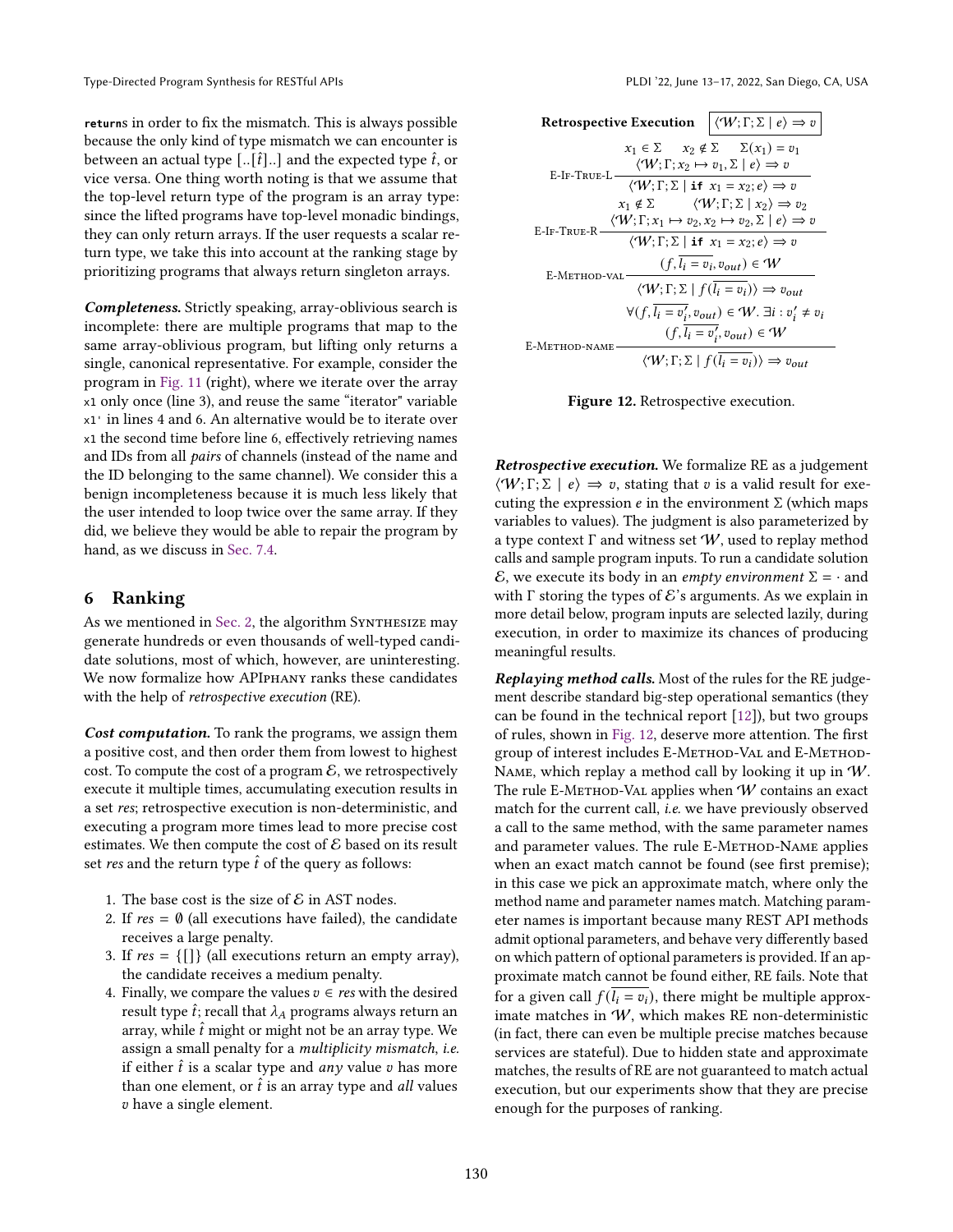**return**s in order to fix the mismatch. This is always possible because the only kind of type mismatch we can encounter is between an actual type  $\left[ . . , \hat{t} \right]$ ... and the expected type  $\hat{t}$ , or vice versa. One thing worth noting is that we assume that the top-level return type of the program is an array type: since the lifted programs have top-level monadic bindings, they can only return arrays. If the user requests a scalar return type, we take this into account at the ranking stage by prioritizing programs that always return singleton arrays.

Completeness. Strictly speaking, array-oblivious search is incomplete: there are multiple programs that map to the same array-oblivious program, but lifting only returns a single, canonical representative. For example, consider the program in [Fig. 11](#page-7-1) (right), where we iterate over the array x1 only once (line 3), and reuse the same "iterator" variable x1' in lines 4 and 6. An alternative would be to iterate over x1 the second time before line 6, effectively retrieving names and IDs from all pairs of channels (instead of the name and the ID belonging to the same channel). We consider this a benign incompleteness because it is much less likely that the user intended to loop twice over the same array. If they did, we believe they would be able to repair the program by hand, as we discuss in [Sec. 7.4.](#page-12-0)

# <span id="page-8-0"></span>6 Ranking

As we mentioned in [Sec. 2,](#page-2-3) the algorithm SYNTHESIZE may generate hundreds or even thousands of well-typed candidate solutions, most of which, however, are uninteresting. We now formalize how APIphany ranks these candidates with the help of retrospective execution (RE).

Cost computation. To rank the programs, we assign them a positive cost, and then order them from lowest to highest cost. To compute the cost of a program  $\mathcal{E}$ , we retrospectively execute it multiple times, accumulating execution results in a set res; retrospective execution is non-deterministic, and executing a program more times lead to more precise cost estimates. We then compute the cost of  $\mathcal E$  based on its result set res and the return type  $\hat{t}$  of the query as follows:

- 1. The base cost is the size of  $\mathcal E$  in AST nodes.
- 2. If  $res = \emptyset$  (all executions have failed), the candidate receives a large penalty.
- 3. If  $res = \{ [] \}$  (all executions return an empty array), the candidate receives a medium penalty.
- 4. Finally, we compare the values  $v \in res$  with the desired result type  $\hat{t}$ ; recall that  $\lambda_A$  programs always return an array, while  $\hat{t}$  might or might not be an array type. We assign a small penalty for a multiplicity mismatch, i.e. if either  $\hat{t}$  is a scalar type and any value v has more than one element, or  $\hat{t}$  is an array type and *all* values have a single element.

<span id="page-8-1"></span>

| Retrospective Execution $ \langle W; \Gamma; \Sigma   e \rangle \Rightarrow v$                                                                                                                                                                                                        |
|---------------------------------------------------------------------------------------------------------------------------------------------------------------------------------------------------------------------------------------------------------------------------------------|
| $x_1 \in \Sigma$ $x_2 \notin \Sigma$ $\sum (x_1) = v_1$<br>$\langle \mathcal{W}; \Gamma; x_2 \mapsto v_1, \Sigma   e \rangle \Rightarrow v$<br>E-IF-TRUE-L                                                                                                                            |
| $\langle \mathcal{W}; \Gamma; \Sigma \mid \mathbf{if} \; x_1 = x_2; e \rangle \Rightarrow v$<br>$x_1 \notin \Sigma$ $\langle W; \Gamma; \Sigma   x_2 \rangle \Rightarrow v_2$<br>$\langle \mathcal{W}; \Gamma; x_1 \mapsto v_2, x_2 \mapsto v_2, \Sigma \mid e \rangle \Rightarrow v$ |
| E-IF-TRUE-R<br>$\langle \mathcal{W}; \Gamma; \Sigma \mid \mathbf{if} \; x_1 = x_2; e \rangle \Rightarrow v$                                                                                                                                                                           |
| $(f, l_i = v_i, v_{out}) \in W$<br>E-Method-val<br>$\langle \mathcal{W}; \Gamma; \Sigma   f(l_i = v_i) \rangle \Rightarrow v_{out}$                                                                                                                                                   |
| $\forall (f, l_i = v'_i, v_{out}) \in W$ . $\exists i : v'_i \neq v_i$                                                                                                                                                                                                                |
| $(f, \overline{l_i = v'_i}, v_{out}) \in W$<br>E-METHOD-NAME<br>$\langle \mathcal{W}; \Gamma; \Sigma   f(l_i = v_i) \rangle \Rightarrow v_{out}$                                                                                                                                      |

Figure 12. Retrospective execution.

Retrospective execution. We formalize RE as a judgement  $\langle \mathcal{W}; \Gamma; \Sigma \mid e \rangle \Rightarrow v$ , stating that v is a valid result for executing the expression  $e$  in the environment  $\Sigma$  (which maps variables to values). The judgment is also parameterized by a type context  $\Gamma$  and witness set  $W$ , used to replay method calls and sample program inputs. To run a candidate solution E, we execute its body in an *empty environment*  $\Sigma = \cdot$  and with  $\Gamma$  storing the types of  $\mathcal{E}'$ 's arguments. As we explain in more detail below, program inputs are selected lazily, during execution, in order to maximize its chances of producing meaningful results.

Replaying method calls. Most of the rules for the RE judgement describe standard big-step operational semantics (they can be found in the technical report [\[12\]](#page-13-4)), but two groups of rules, shown in [Fig. 12,](#page-8-1) deserve more attention. The first group of interest includes E-METHOD-VAL and E-METHOD-NAME, which replay a method call by looking it up in  $W$ . The rule E-METHOD-VAL applies when  $W$  contains an exact match for the current call, i.e. we have previously observed a call to the same method, with the same parameter names and parameter values. The rule E-METHOD-NAME applies when an exact match cannot be found (see first premise); in this case we pick an approximate match, where only the method name and parameter names match. Matching parameter names is important because many REST API methods admit optional parameters, and behave very differently based on which pattern of optional parameters is provided. If an approximate match cannot be found either, RE fails. Note that for a given call  $f(l_i = v_i)$ , there might be multiple approximate matches in W, which makes RE non-deterministic (in fact, there can even be multiple precise matches because services are stateful). Due to hidden state and approximate matches, the results of RE are not guaranteed to match actual execution, but our experiments show that they are precise enough for the purposes of ranking.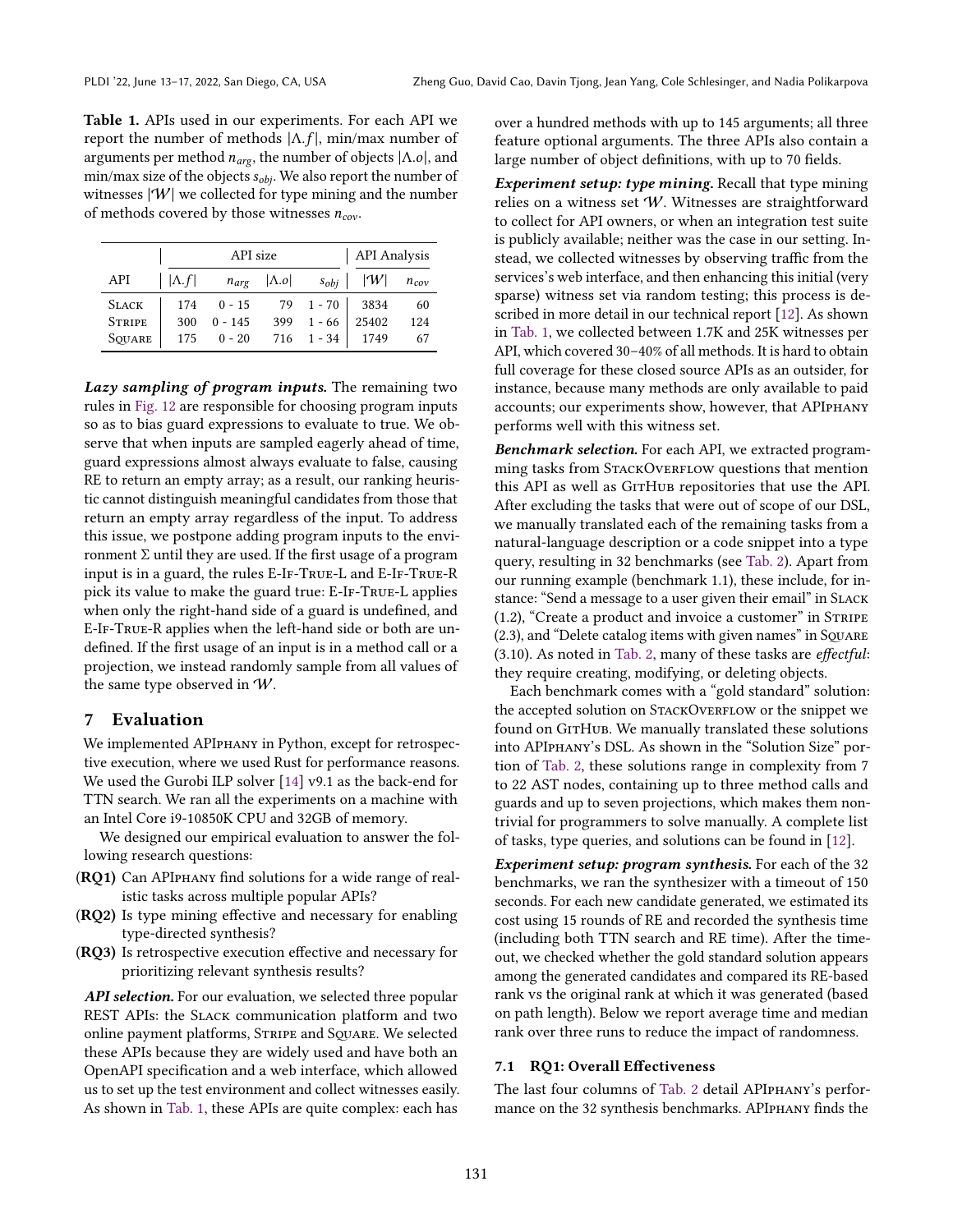<span id="page-9-1"></span>Table 1. APIs used in our experiments. For each API we report the number of methods  $|Λ.f|$ , min/max number of arguments per method  $n_{arg}$ , the number of objects  $|\Lambda.o|$ , and min/max size of the objects  $s_{obj}$ . We also report the number of witnesses  $|\mathcal{W}|$  we collected for type mining and the number of methods covered by those witnesses  $n_{cov}$ .

|               |               | API size     | <b>API</b> Analysis      |                   |                           |     |
|---------------|---------------|--------------|--------------------------|-------------------|---------------------------|-----|
| API           | $ \Lambda.f $ |              | $n_{arg}$   $\Lambda$ .0 |                   | $s_{obj}$ $ W $ $n_{cov}$ |     |
| <b>SLACK</b>  |               | $174$ 0 - 15 |                          | 79 1 - 70 3834    |                           | 60  |
| <b>STRIPE</b> | 300           | $0 - 145$    |                          | $399$ 1 - 66      | 25402                     | 124 |
| SQUARE        |               | $175$ 0 - 20 |                          | 716 1 - 34   1749 |                           | 67  |

Lazy sampling of program inputs. The remaining two rules in [Fig. 12](#page-8-1) are responsible for choosing program inputs so as to bias guard expressions to evaluate to true. We observe that when inputs are sampled eagerly ahead of time, guard expressions almost always evaluate to false, causing RE to return an empty array; as a result, our ranking heuristic cannot distinguish meaningful candidates from those that return an empty array regardless of the input. To address this issue, we postpone adding program inputs to the environment Σ until they are used. If the first usage of a program input is in a guard, the rules E-IF-TRUE-L and E-IF-TRUE-R pick its value to make the guard true: E-IF-TRUE-L applies when only the right-hand side of a guard is undefined, and E-If-True-R applies when the left-hand side or both are undefined. If the first usage of an input is in a method call or a projection, we instead randomly sample from all values of the same type observed in W.

# <span id="page-9-0"></span>7 Evaluation

We implemented APIphany in Python, except for retrospective execution, where we used Rust for performance reasons. We used the Gurobi ILP solver [\[14\]](#page-13-5) v9.1 as the back-end for TTN search. We ran all the experiments on a machine with an Intel Core i9-10850K CPU and 32GB of memory.

We designed our empirical evaluation to answer the following research questions:

- (RQ1) Can APIphany find solutions for a wide range of realistic tasks across multiple popular APIs?
- (RQ2) Is type mining effective and necessary for enabling type-directed synthesis?
- (RQ3) Is retrospective execution effective and necessary for prioritizing relevant synthesis results?

API selection. For our evaluation, we selected three popular REST APIs: the Slack communication platform and two online payment platforms, STRIPE and SQUARE. We selected these APIs because they are widely used and have both an OpenAPI specification and a web interface, which allowed us to set up the test environment and collect witnesses easily. As shown in [Tab. 1,](#page-9-1) these APIs are quite complex: each has

over a hundred methods with up to 145 arguments; all three feature optional arguments. The three APIs also contain a large number of object definitions, with up to 70 fields.

Experiment setup: type mining. Recall that type mining relies on a witness set W. Witnesses are straightforward to collect for API owners, or when an integration test suite is publicly available; neither was the case in our setting. Instead, we collected witnesses by observing traffic from the services's web interface, and then enhancing this initial (very sparse) witness set via random testing; this process is described in more detail in our technical report [\[12\]](#page-13-4). As shown in [Tab. 1,](#page-9-1) we collected between 1.7K and 25K witnesses per API, which covered 30-40% of all methods. It is hard to obtain full coverage for these closed source APIs as an outsider, for instance, because many methods are only available to paid accounts; our experiments show, however, that APIphany performs well with this witness set.

**Benchmark selection.** For each API, we extracted programming tasks from STACKOVERFLOW questions that mention this API as well as GITHUB repositories that use the API. After excluding the tasks that were out of scope of our DSL, we manually translated each of the remaining tasks from a natural-language description or a code snippet into a type query, resulting in 32 benchmarks (see [Tab. 2\)](#page-10-0). Apart from our running example (benchmark 1.1), these include, for instance: "Send a message to a user given their email" in SLACK (1.2), "Create a product and invoice a customer" in  $S$ TRIPE  $(2.3)$ , and "Delete catalog items with given names" in SQUARE (3.10). As noted in [Tab. 2,](#page-10-0) many of these tasks are effectful: they require creating, modifying, or deleting objects.

Each benchmark comes with a "gold standard" solution: the accepted solution on STACKOVERFLOW or the snippet we found on GITHUB. We manually translated these solutions into APIPHANY's DSL. As shown in the "Solution Size" portion of [Tab. 2,](#page-10-0) these solutions range in complexity from 7 to 22 AST nodes, containing up to three method calls and guards and up to seven projections, which makes them nontrivial for programmers to solve manually. A complete list of tasks, type queries, and solutions can be found in [\[12\]](#page-13-4).

Experiment setup: program synthesis. For each of the 32 benchmarks, we ran the synthesizer with a timeout of 150 seconds. For each new candidate generated, we estimated its cost using 15 rounds of RE and recorded the synthesis time (including both TTN search and RE time). After the timeout, we checked whether the gold standard solution appears among the generated candidates and compared its RE-based rank vs the original rank at which it was generated (based on path length). Below we report average time and median rank over three runs to reduce the impact of randomness.

#### 7.1 RQ1: Overall Effectiveness

The last four columns of [Tab. 2](#page-10-0) detail APIPHANY's performance on the 32 synthesis benchmarks. APIPHANY finds the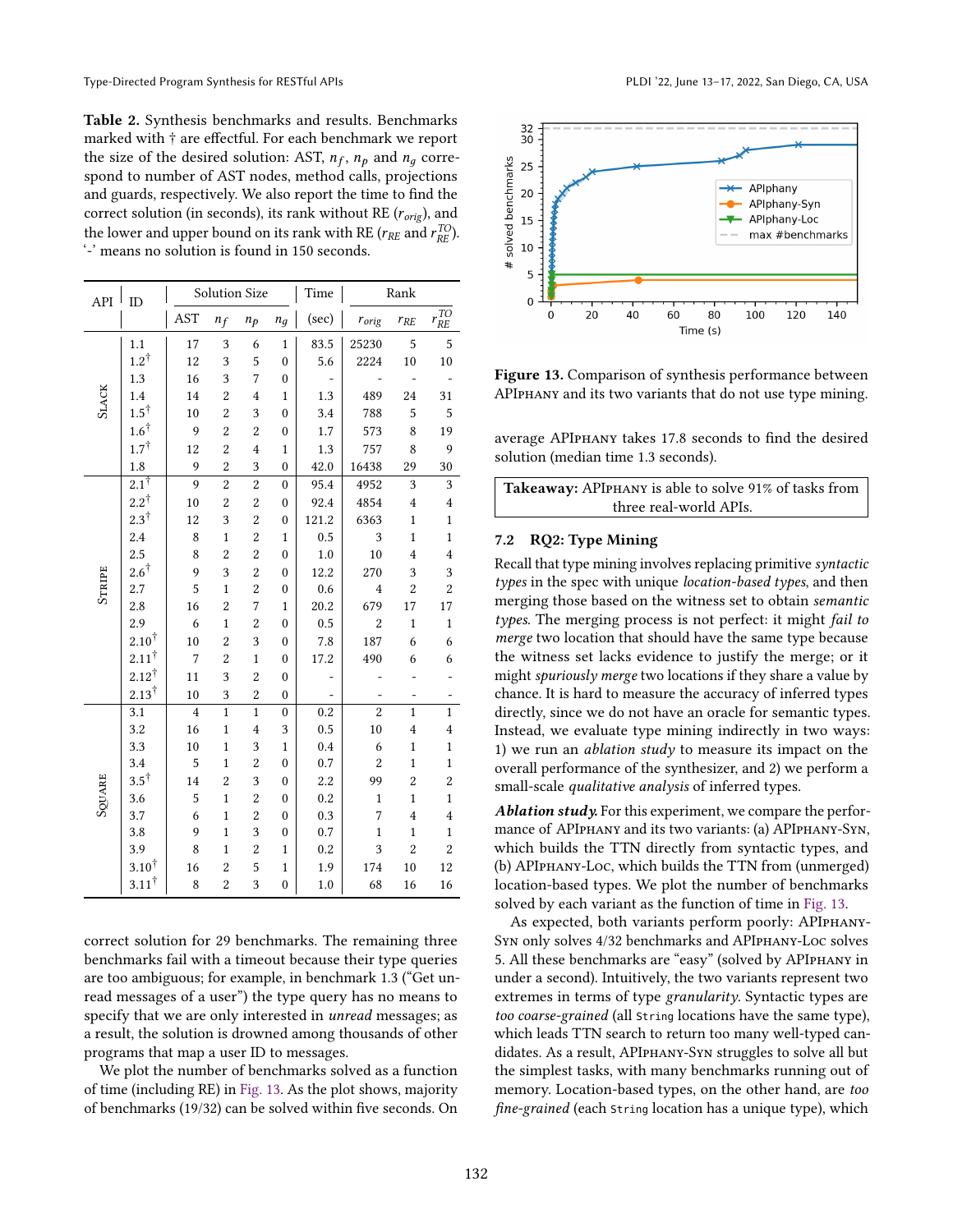<span id="page-10-0"></span>Table 2. Synthesis benchmarks and results. Benchmarks marked with † are effectful. For each benchmark we report the size of the desired solution: AST,  $n_f$ ,  $n_p$  and  $n_g$  correspond to number of AST nodes, method calls, projections and guards, respectively. We also report the time to find the correct solution (in seconds), its rank without RE ( $r_{orig}$ ), and the lower and upper bound on its rank with RE ( $r_{RE}$  and  $r_{RE}^{TO}$ ). '-' means no solution is found in 150 seconds.

| API          | ID               |                | Solution Size  |                         | Time             |                  | Rank           |                         |                         |
|--------------|------------------|----------------|----------------|-------------------------|------------------|------------------|----------------|-------------------------|-------------------------|
|              |                  | <b>AST</b>     | $n_f$          | $n_p$                   | $n_q$            | (sec)            | $r_{orig}$     | $r_{RE}$                | $r^{\rm TO}_{RE}$       |
|              | 1.1              | 17             | 3              | 6                       | $\mathbf{1}$     | 83.5             | 25230          | 5                       | 5                       |
|              | $1.2^{\dagger}$  | 12             | 3              | 5                       | $\mathbf{0}$     | 5.6              | 2224           | 10                      | 10                      |
|              | 1.3              | 16             | 3              | 7                       | $\mathbf{0}$     |                  |                | $\overline{a}$          |                         |
| <b>SLACK</b> | 1.4              | 14             | $\overline{c}$ | $\overline{4}$          | $\mathbf{1}$     | 1.3              | 489            | 24                      | 31                      |
|              | $1.5^\dagger$    | 10             | $\overline{c}$ | 3                       | $\boldsymbol{0}$ | 3.4              | 788            | 5                       | 5                       |
|              | $1.6^{\dagger}$  | 9              | $\overline{c}$ | $\overline{c}$          | $\boldsymbol{0}$ | 1.7              | 573            | 8                       | 19                      |
|              | $1.7^{\dagger}$  | 12             | $\overline{c}$ | $\overline{4}$          | $\mathbf{1}$     | 1.3              | 757            | 8                       | 9                       |
|              | 1.8              | 9              | $\overline{c}$ | 3                       | $\boldsymbol{0}$ | 42.0             | 16438          | 29                      | 30                      |
|              | $2.1^{\dagger}$  | 9              | $\overline{c}$ | $\overline{c}$          | $\mathbf{0}$     | 95.4             | 4952           | 3                       | 3                       |
|              | $2.2^{\dagger}$  | 10             | $\overline{c}$ | $\overline{c}$          | $\mathbf{0}$     | 92.4             | 4854           | $\overline{\mathbf{4}}$ | $\overline{\mathbf{4}}$ |
|              | $2.3^{\dagger}$  | 12             | 3              | $\overline{c}$          | $\boldsymbol{0}$ | 121.2            | 6363           | $\mathbf{1}$            | $\mathbf 1$             |
|              | 2.4              | 8              | $\mathbf{1}$   | $\overline{c}$          | $\mathbf{1}$     | 0.5              | 3              | $\mathbf{1}$            | $\mathbf{1}$            |
|              | 2.5              | 8              | $\overline{c}$ | $\overline{c}$          | $\mathbf{0}$     | $1.0\,$          | 10             | $\overline{4}$          | $\overline{4}$          |
|              | $2.6^\dagger$    | 9              | 3              | $\overline{\mathbf{c}}$ | $\mathbf{0}$     | 12.2             | 270            | 3                       | 3                       |
| STRIPE       | 2.7              | 5              | $\mathbf{1}$   | $\overline{\mathbf{c}}$ | $\mathbf{0}$     | 0.6              | $\overline{4}$ | $\overline{2}$          | $\overline{2}$          |
|              | 2.8              | 16             | $\overline{c}$ | 7                       | $\mathbf{1}$     | 20.2             | 679            | 17                      | 17                      |
|              | 2.9              | 6              | $\mathbf{1}$   | $\overline{\mathbf{c}}$ | $\mathbf{0}$     | 0.5              | $\overline{c}$ | $\mathbf{1}$            | $\mathbf{1}$            |
|              | $2.10^{\dagger}$ | 10             | $\overline{c}$ | 3                       | $\mathbf{0}$     | 7.8              | 187            | 6                       | 6                       |
|              | $2.11^{\dagger}$ | $\overline{7}$ | $\overline{c}$ | $\mathbf{1}$            | $\mathbf{0}$     | 17.2             | 490            | 6                       | 6                       |
|              | $2.12^{\dagger}$ | 11             | 3              | $\overline{c}$          | $\boldsymbol{0}$ |                  |                |                         |                         |
|              | $2.13^{\dagger}$ | 10             | 3              | $\overline{c}$          | $\boldsymbol{0}$ |                  |                |                         |                         |
|              | 3.1              | $\overline{4}$ | $\mathbf{1}$   | $\mathbf{1}$            | $\boldsymbol{0}$ | $\overline{0.2}$ | $\overline{2}$ | $\mathbf{1}$            | $\mathbf{1}$            |
|              | 3.2              | 16             | $\mathbf{1}$   | $\overline{4}$          | 3                | 0.5              | 10             | $\overline{4}$          | $\overline{4}$          |
|              | 3.3              | 10             | $\mathbf{1}$   | 3                       | $\mathbf{1}$     | 0.4              | 6              | $\mathbf{1}$            | $\mathbf{1}$            |
|              | 3.4              | 5              | $\mathbf{1}$   | $\overline{\mathbf{c}}$ | $\boldsymbol{0}$ | 0.7              | $\overline{c}$ | $\mathbf{1}$            | $\mathbf{1}$            |
| SQUARE       | $3.5^{\dagger}$  | 14             | $\overline{c}$ | 3                       | $\boldsymbol{0}$ | 2.2              | 99             | $\overline{c}$          | $\overline{c}$          |
|              | 3.6              | 5              | $\mathbf{1}$   | $\overline{c}$          | $\mathbf{0}$     | 0.2              | $\mathbf{1}$   | $\mathbf{1}$            | $\mathbf{1}$            |
|              | 3.7              | 6              | $\mathbf{1}$   | $\overline{c}$          | $\mathbf{0}$     | 0.3              | $\overline{7}$ | $\overline{4}$          | $\overline{4}$          |
|              | 3.8              | 9              | $\mathbf{1}$   | 3                       | $\boldsymbol{0}$ | 0.7              | $\mathbf{1}$   | $\mathbf{1}$            | $\mathbf{1}$            |
|              | 3.9              | 8              | $\mathbf{1}$   | $\overline{c}$          | $\mathbf{1}$     | 0.2              | 3              | $\overline{c}$          | $\overline{c}$          |
|              | $3.10^{\dagger}$ | 16             | $\overline{c}$ | 5                       | $\mathbf{1}$     | 1.9              | 174            | 10                      | 12                      |
|              | $3.11^{\dagger}$ | 8              | $\overline{c}$ | 3                       | $\boldsymbol{0}$ | 1.0              | 68             | 16                      | 16                      |

correct solution for 29 benchmarks. The remaining three benchmarks fail with a timeout because their type queries are too ambiguous; for example, in benchmark 1.3 ("Get unread messages of a user") the type query has no means to specify that we are only interested in unread messages; as a result, the solution is drowned among thousands of other programs that map a user ID to messages.

We plot the number of benchmarks solved as a function of time (including RE) in [Fig. 13.](#page-10-1) As the plot shows, majority of benchmarks (19/32) can be solved within five seconds. On

<span id="page-10-1"></span>

Figure 13. Comparison of synthesis performance between APIphany and its two variants that do not use type mining.

average APIphany takes 17.8 seconds to find the desired solution (median time 1.3 seconds).

| Takeaway: APIPHANY is able to solve 91% of tasks from |
|-------------------------------------------------------|
| three real-world APIs.                                |

# 7.2 RQ2: Type Mining

Recall that type mining involves replacing primitive syntactic types in the spec with unique *location-based types*, and then merging those based on the witness set to obtain semantic types. The merging process is not perfect: it might fail to merge two location that should have the same type because the witness set lacks evidence to justify the merge; or it might spuriously merge two locations if they share a value by chance. It is hard to measure the accuracy of inferred types directly, since we do not have an oracle for semantic types. Instead, we evaluate type mining indirectly in two ways: 1) we run an ablation study to measure its impact on the overall performance of the synthesizer, and 2) we perform a small-scale *qualitative analysis* of inferred types.

Ablation study. For this experiment, we compare the performance of APIphany and its two variants: (a) APIphany-Syn, which builds the TTN directly from syntactic types, and (b) APIphany-Loc, which builds the TTN from (unmerged) location-based types. We plot the number of benchmarks solved by each variant as the function of time in [Fig. 13.](#page-10-1)

As expected, both variants perform poorly: APIphany-Syn only solves 4/32 benchmarks and APIphany-Loc solves 5. All these benchmarks are "easy" (solved by APIPHANY in under a second). Intuitively, the two variants represent two extremes in terms of type granularity. Syntactic types are too coarse-grained (all String locations have the same type), which leads TTN search to return too many well-typed candidates. As a result, APIphany-Syn struggles to solve all but the simplest tasks, with many benchmarks running out of memory. Location-based types, on the other hand, are too fine-grained (each String location has a unique type), which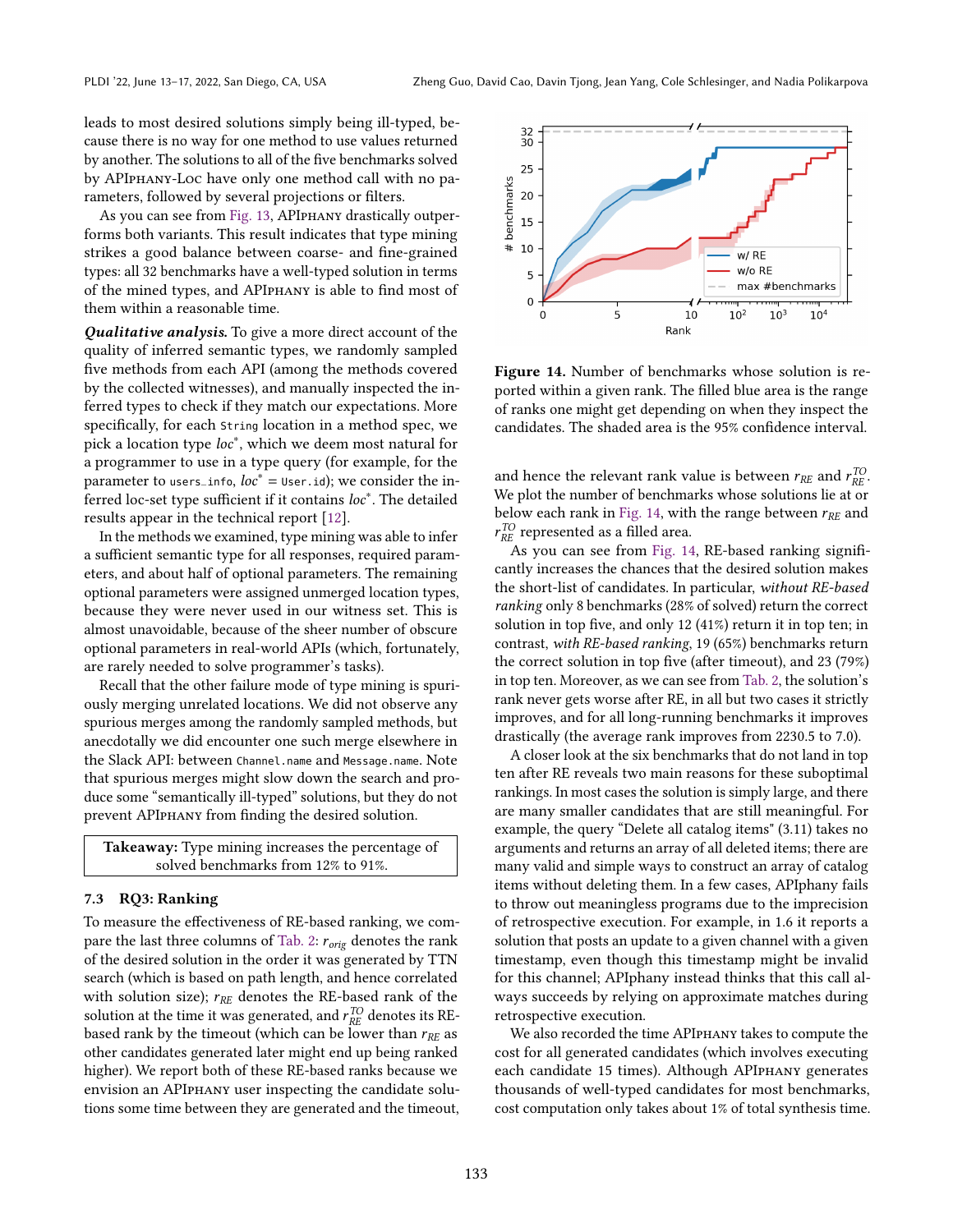leads to most desired solutions simply being ill-typed, because there is no way for one method to use values returned by another. The solutions to all of the five benchmarks solved by APIphany-Loc have only one method call with no parameters, followed by several projections or filters.

As you can see from [Fig. 13,](#page-10-1) APIphany drastically outperforms both variants. This result indicates that type mining strikes a good balance between coarse- and fine-grained types: all 32 benchmarks have a well-typed solution in terms of the mined types, and APIphany is able to find most of them within a reasonable time.

Qualitative analysis. To give a more direct account of the quality of inferred semantic types, we randomly sampled five methods from each API (among the methods covered by the collected witnesses), and manually inspected the inferred types to check if they match our expectations. More specifically, for each String location in a method spec, we pick a location type loc<sup>\*</sup>, which we deem most natural for a programmer to use in a type query (for example, for the parameter to users\_info,  $loc^* =$  User.id); we consider the in-.<br>ferred loc-set type sufficient if it contains *loc*\*. The detailed results appear in the technical report [\[12\]](#page-13-4).

In the methods we examined, type mining was able to infer a sufficient semantic type for all responses, required parameters, and about half of optional parameters. The remaining optional parameters were assigned unmerged location types, because they were never used in our witness set. This is almost unavoidable, because of the sheer number of obscure optional parameters in real-world APIs (which, fortunately, are rarely needed to solve programmer's tasks).

Recall that the other failure mode of type mining is spuriously merging unrelated locations. We did not observe any spurious merges among the randomly sampled methods, but anecdotally we did encounter one such merge elsewhere in the Slack API: between Channel.name and Message.name. Note that spurious merges might slow down the search and produce some "semantically ill-typed" solutions, but they do not prevent APIphany from finding the desired solution.



# 7.3 RQ3: Ranking

To measure the effectiveness of RE-based ranking, we com-pare the last three columns of [Tab. 2:](#page-10-0)  $r_{orig}$  denotes the rank of the desired solution in the order it was generated by TTN search (which is based on path length, and hence correlated with solution size);  $r_{RE}$  denotes the RE-based rank of the solution at the time it was generated, and  $r_{RE}^{TO}$  denotes its REbased rank by the timeout (which can be lower than  $r_{RE}$  as other candidates generated later might end up being ranked higher). We report both of these RE-based ranks because we envision an APIphany user inspecting the candidate solutions some time between they are generated and the timeout,

<span id="page-11-0"></span>

Figure 14. Number of benchmarks whose solution is reported within a given rank. The filled blue area is the range of ranks one might get depending on when they inspect the candidates. The shaded area is the 95% confidence interval.

and hence the relevant rank value is between  $r_{RE}$  and  $r_{RE}^{TO}$ . We plot the number of benchmarks whose solutions lie at or below each rank in [Fig. 14,](#page-11-0) with the range between  $r_{RE}$  and  $r_{RE}^{TO}$  represented as a filled area.

As you can see from [Fig. 14,](#page-11-0) RE-based ranking significantly increases the chances that the desired solution makes the short-list of candidates. In particular, without RE-based ranking only 8 benchmarks (28% of solved) return the correct solution in top five, and only 12 (41%) return it in top ten; in contrast, with RE-based ranking, 19 (65%) benchmarks return the correct solution in top five (after timeout), and 23 (79%) in top ten. Moreover, as we can see from [Tab. 2,](#page-10-0) the solution's rank never gets worse after RE, in all but two cases it strictly improves, and for all long-running benchmarks it improves drastically (the average rank improves from 2230.5 to 7.0).

A closer look at the six benchmarks that do not land in top ten after RE reveals two main reasons for these suboptimal rankings. In most cases the solution is simply large, and there are many smaller candidates that are still meaningful. For example, the query "Delete all catalog items" (3.11) takes no arguments and returns an array of all deleted items; there are many valid and simple ways to construct an array of catalog items without deleting them. In a few cases, APIphany fails to throw out meaningless programs due to the imprecision of retrospective execution. For example, in 1.6 it reports a solution that posts an update to a given channel with a given timestamp, even though this timestamp might be invalid for this channel; APIphany instead thinks that this call always succeeds by relying on approximate matches during retrospective execution.

We also recorded the time APIphany takes to compute the cost for all generated candidates (which involves executing each candidate 15 times). Although APIphany generates thousands of well-typed candidates for most benchmarks, cost computation only takes about 1% of total synthesis time.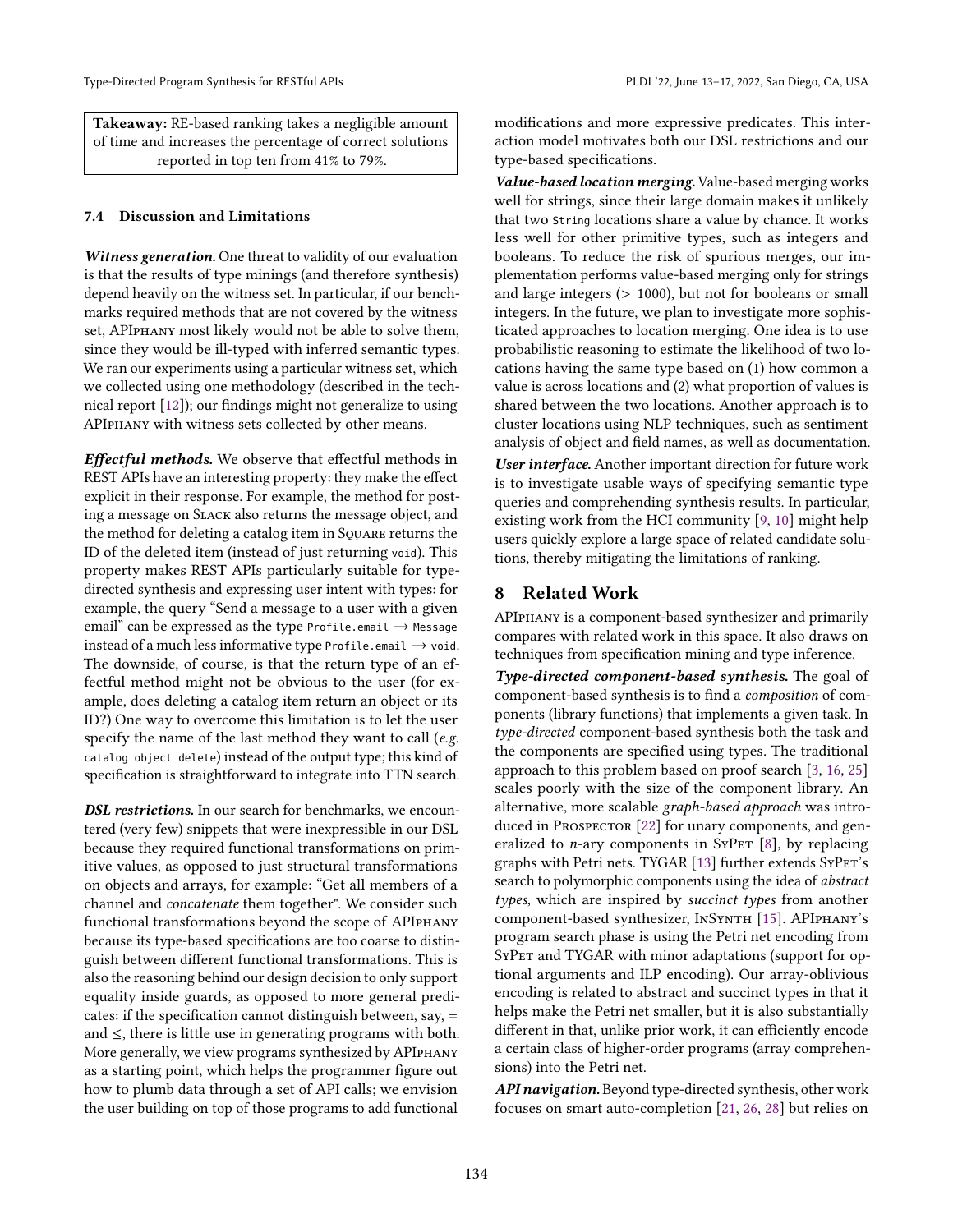Takeaway: RE-based ranking takes a negligible amount of time and increases the percentage of correct solutions reported in top ten from 41% to 79%.

#### <span id="page-12-0"></span>7.4 Discussion and Limitations

Witness generation. One threat to validity of our evaluation is that the results of type minings (and therefore synthesis) depend heavily on the witness set. In particular, if our benchmarks required methods that are not covered by the witness set, APIphany most likely would not be able to solve them, since they would be ill-typed with inferred semantic types. We ran our experiments using a particular witness set, which we collected using one methodology (described in the technical report [\[12\]](#page-13-4)); our findings might not generalize to using APIphany with witness sets collected by other means.

Effectful methods. We observe that effectful methods in REST APIs have an interesting property: they make the effect explicit in their response. For example, the method for posting a message on Slack also returns the message object, and the method for deleting a catalog item in SQUARE returns the ID of the deleted item (instead of just returning void). This property makes REST APIs particularly suitable for typedirected synthesis and expressing user intent with types: for example, the query "Send a message to a user with a given email" can be expressed as the type Profile.email  $\rightarrow$  Message instead of a much less informative type Profile.email  $\rightarrow$  void. The downside, of course, is that the return type of an effectful method might not be obvious to the user (for example, does deleting a catalog item return an object or its ID?) One way to overcome this limitation is to let the user specify the name of the last method they want to call (*e.g.*) catalog\_object\_delete) instead of the output type; this kind of specification is straightforward to integrate into TTN search.

DSL restrictions. In our search for benchmarks, we encountered (very few) snippets that were inexpressible in our DSL because they required functional transformations on primitive values, as opposed to just structural transformations on objects and arrays, for example: "Get all members of a channel and concatenate them together". We consider such functional transformations beyond the scope of APIphany because its type-based specifications are too coarse to distinguish between different functional transformations. This is also the reasoning behind our design decision to only support equality inside guards, as opposed to more general predicates: if the specification cannot distinguish between, say, = and ≤, there is little use in generating programs with both. More generally, we view programs synthesized by APIphany as a starting point, which helps the programmer figure out how to plumb data through a set of API calls; we envision the user building on top of those programs to add functional

modifications and more expressive predicates. This interaction model motivates both our DSL restrictions and our type-based specifications.

Value-based location merging. Value-based merging works well for strings, since their large domain makes it unlikely that two String locations share a value by chance. It works less well for other primitive types, such as integers and booleans. To reduce the risk of spurious merges, our implementation performs value-based merging only for strings and large integers (> 1000), but not for booleans or small integers. In the future, we plan to investigate more sophisticated approaches to location merging. One idea is to use probabilistic reasoning to estimate the likelihood of two locations having the same type based on (1) how common a value is across locations and (2) what proportion of values is shared between the two locations. Another approach is to cluster locations using NLP techniques, such as sentiment analysis of object and field names, as well as documentation.

User interface. Another important direction for future work is to investigate usable ways of specifying semantic type queries and comprehending synthesis results. In particular, existing work from the HCI community [\[9,](#page-13-6) [10\]](#page-13-7) might help users quickly explore a large space of related candidate solutions, thereby mitigating the limitations of ranking.

# 8 Related Work

APIphany is a component-based synthesizer and primarily compares with related work in this space. It also draws on techniques from specification mining and type inference.

Type-directed component-based synthesis. The goal of component-based synthesis is to find a composition of components (library functions) that implements a given task. In type-directed component-based synthesis both the task and the components are specified using types. The traditional approach to this problem based on proof search [\[3,](#page-13-8) [16,](#page-13-9) [25\]](#page-14-7) scales poorly with the size of the component library. An alternative, more scalable graph-based approach was intro-duced in PROSPECTOR [\[22\]](#page-14-4) for unary components, and generalized to *n*-ary components in SyPET  $[8]$ , by replacing graphs with Petri nets. TYGAR [\[13\]](#page-13-3) further extends SyPET's search to polymorphic components using the idea of abstract types, which are inspired by *succinct types* from another component-based synthesizer, InSynth [\[15\]](#page-13-1). APIphany's program search phase is using the Petri net encoding from SYPET and TYGAR with minor adaptations (support for optional arguments and ILP encoding). Our array-oblivious encoding is related to abstract and succinct types in that it helps make the Petri net smaller, but it is also substantially different in that, unlike prior work, it can efficiently encode a certain class of higher-order programs (array comprehensions) into the Petri net.

API navigation. Beyond type-directed synthesis, other work focuses on smart auto-completion [\[21,](#page-14-8) [26,](#page-14-9) [28\]](#page-14-10) but relies on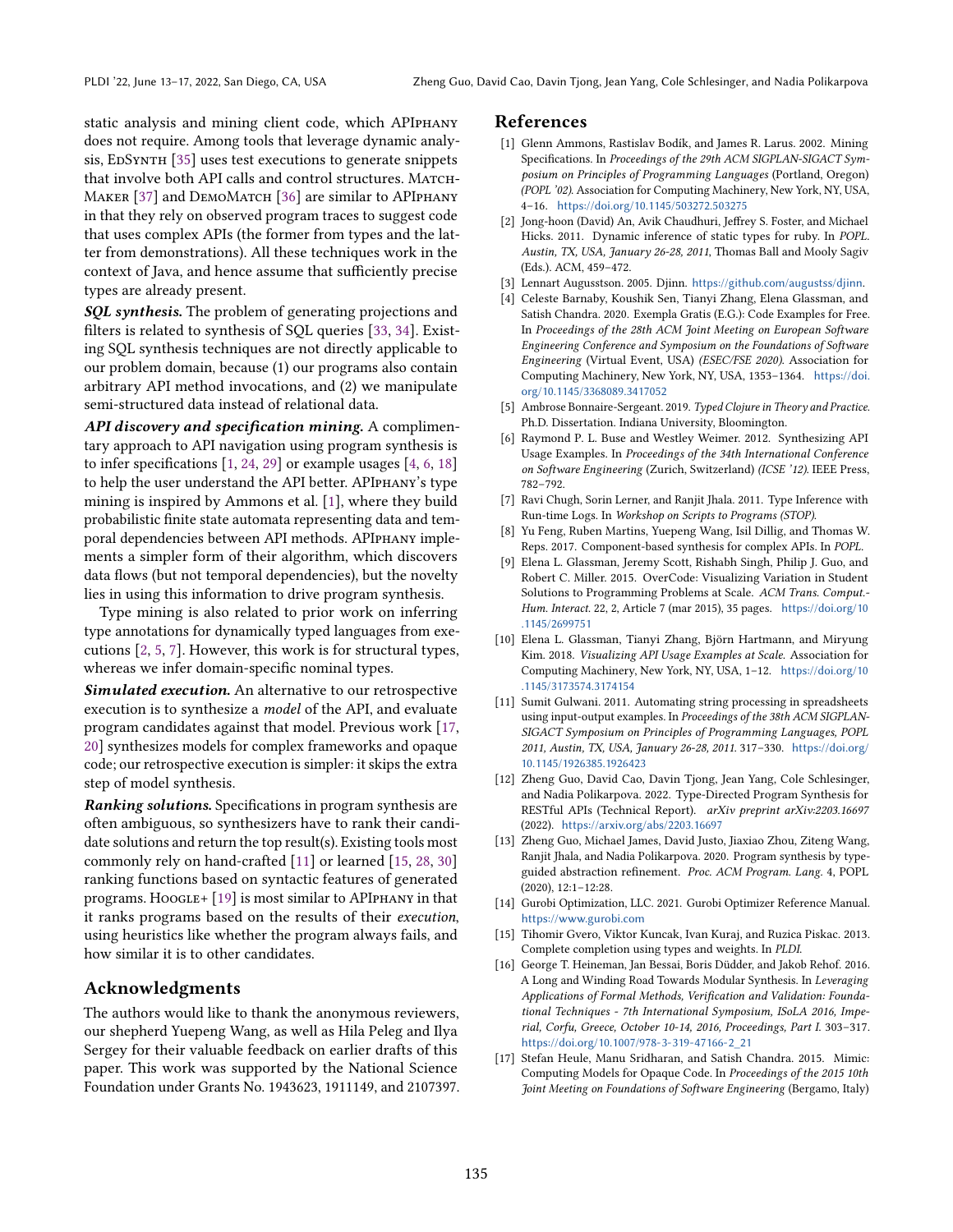static analysis and mining client code, which APIphany does not require. Among tools that leverage dynamic analy-sis, EDSYNTH [\[35\]](#page-14-11) uses test executions to generate snippets that involve both API calls and control structures. MATCH-MAKER [\[37\]](#page-14-12) and DEMOMATCH [\[36\]](#page-14-13) are similar to APIPHANY in that they rely on observed program traces to suggest code that uses complex APIs (the former from types and the latter from demonstrations). All these techniques work in the context of Java, and hence assume that sufficiently precise types are already present.

SQL synthesis. The problem of generating projections and filters is related to synthesis of SQL queries [\[33,](#page-14-14) [34\]](#page-14-15). Existing SQL synthesis techniques are not directly applicable to our problem domain, because (1) our programs also contain arbitrary API method invocations, and (2) we manipulate semi-structured data instead of relational data.

API discovery and specification mining. A complimentary approach to API navigation using program synthesis is to infer specifications  $[1, 24, 29]$  $[1, 24, 29]$  $[1, 24, 29]$  $[1, 24, 29]$  or example usages  $[4, 6, 18]$  $[4, 6, 18]$  $[4, 6, 18]$  $[4, 6, 18]$ to help the user understand the API better. APIphany's type mining is inspired by Ammons et al. [\[1\]](#page-13-2), where they build probabilistic finite state automata representing data and temporal dependencies between API methods. APIPHANY implements a simpler form of their algorithm, which discovers data flows (but not temporal dependencies), but the novelty lies in using this information to drive program synthesis.

Type mining is also related to prior work on inferring type annotations for dynamically typed languages from executions [\[2,](#page-13-12) [5,](#page-13-13) [7\]](#page-13-14). However, this work is for structural types, whereas we infer domain-specific nominal types.

Simulated execution. An alternative to our retrospective execution is to synthesize a model of the API, and evaluate program candidates against that model. Previous work [\[17,](#page-13-15) [20\]](#page-14-19) synthesizes models for complex frameworks and opaque code; our retrospective execution is simpler: it skips the extra step of model synthesis.

Ranking solutions. Specifications in program synthesis are often ambiguous, so synthesizers have to rank their candidate solutions and return the top result(s). Existing tools most commonly rely on hand-crafted [\[11\]](#page-13-16) or learned [\[15,](#page-13-1) [28,](#page-14-10) [30\]](#page-14-20) ranking functions based on syntactic features of generated programs. Hoogle+  $[19]$  is most similar to APIPHANY in that it ranks programs based on the results of their execution, using heuristics like whether the program always fails, and how similar it is to other candidates.

## Acknowledgments

The authors would like to thank the anonymous reviewers, our shepherd Yuepeng Wang, as well as Hila Peleg and Ilya Sergey for their valuable feedback on earlier drafts of this paper. This work was supported by the National Science Foundation under Grants No. 1943623, 1911149, and 2107397.

#### References

- <span id="page-13-2"></span>[1] Glenn Ammons, Rastislav Bodík, and James R. Larus. 2002. Mining Specifications. In Proceedings of the 29th ACM SIGPLAN-SIGACT Symposium on Principles of Programming Languages (Portland, Oregon) (POPL '02). Association for Computing Machinery, New York, NY, USA, 4-16. <https://doi.org/10.1145/503272.503275>
- <span id="page-13-12"></span>[2] Jong-hoon (David) An, Avik Chaudhuri, Jeffrey S. Foster, and Michael Hicks. 2011. Dynamic inference of static types for ruby. In POPL. Austin, TX, USA, January 26-28, 2011, Thomas Ball and Mooly Sagiv (Eds.). ACM, 459-472.
- <span id="page-13-8"></span>[3] Lennart Augusstson. 2005. Djinn. <https://github.com/augustss/djinn>.
- <span id="page-13-10"></span>[4] Celeste Barnaby, Koushik Sen, Tianyi Zhang, Elena Glassman, and Satish Chandra. 2020. Exempla Gratis (E.G.): Code Examples for Free. In Proceedings of the 28th ACM Joint Meeting on European Software Engineering Conference and Symposium on the Foundations of Software Engineering (Virtual Event, USA) (ESEC/FSE 2020). Association for Computing Machinery, New York, NY, USA, 1353-1364. [https://doi.](https://doi.org/10.1145/3368089.3417052) [org/10.1145/3368089.3417052](https://doi.org/10.1145/3368089.3417052)
- <span id="page-13-13"></span>[5] Ambrose Bonnaire-Sergeant. 2019. Typed Clojure in Theory and Practice. Ph.D. Dissertation. Indiana University, Bloomington.
- <span id="page-13-11"></span>[6] Raymond P. L. Buse and Westley Weimer. 2012. Synthesizing API Usage Examples. In Proceedings of the 34th International Conference on Software Engineering (Zurich, Switzerland) (ICSE '12). IEEE Press, 782-792
- <span id="page-13-14"></span>[7] Ravi Chugh, Sorin Lerner, and Ranjit Jhala. 2011. Type Inference with Run-time Logs. In Workshop on Scripts to Programs (STOP).
- <span id="page-13-0"></span>[8] Yu Feng, Ruben Martins, Yuepeng Wang, Isil Dillig, and Thomas W. Reps. 2017. Component-based synthesis for complex APIs. In POPL.
- <span id="page-13-6"></span>[9] Elena L. Glassman, Jeremy Scott, Rishabh Singh, Philip J. Guo, and Robert C. Miller. 2015. OverCode: Visualizing Variation in Student Solutions to Programming Problems at Scale. ACM Trans. Comput.- Hum. Interact. 22, 2, Article 7 (mar 2015), 35 pages. [https://doi.org/10](https://doi.org/10.1145/2699751) [.1145/2699751](https://doi.org/10.1145/2699751)
- <span id="page-13-7"></span>[10] Elena L. Glassman, Tianyi Zhang, Björn Hartmann, and Miryung Kim. 2018. Visualizing API Usage Examples at Scale. Association for Computing Machinery, New York, NY, USA, 1-12. [https://doi.org/10](https://doi.org/10.1145/3173574.3174154) [.1145/3173574.3174154](https://doi.org/10.1145/3173574.3174154)
- <span id="page-13-16"></span>[11] Sumit Gulwani. 2011. Automating string processing in spreadsheets using input-output examples. In Proceedings of the 38th ACM SIGPLAN-SIGACT Symposium on Principles of Programming Languages, POPL 2011, Austin, TX, USA, January 26-28, 2011. 317-330. [https://doi.org/](https://doi.org/10.1145/1926385.1926423) [10.1145/1926385.1926423](https://doi.org/10.1145/1926385.1926423)
- <span id="page-13-4"></span>[12] Zheng Guo, David Cao, Davin Tjong, Jean Yang, Cole Schlesinger, and Nadia Polikarpova. 2022. Type-Directed Program Synthesis for RESTful APIs (Technical Report). arXiv preprint arXiv:2203.16697 (2022). <https://arxiv.org/abs/2203.16697>
- <span id="page-13-3"></span>[13] Zheng Guo, Michael James, David Justo, Jiaxiao Zhou, Ziteng Wang, Ranjit Jhala, and Nadia Polikarpova. 2020. Program synthesis by typeguided abstraction refinement. Proc. ACM Program. Lang. 4, POPL  $(2020), 12:1-12:28.$
- <span id="page-13-5"></span>[14] Gurobi Optimization, LLC. 2021. Gurobi Optimizer Reference Manual. <https://www.gurobi.com>
- <span id="page-13-1"></span>[15] Tihomir Gvero, Viktor Kuncak, Ivan Kuraj, and Ruzica Piskac. 2013. Complete completion using types and weights. In PLDI.
- <span id="page-13-9"></span>[16] George T. Heineman, Jan Bessai, Boris Düdder, and Jakob Rehof. 2016. A Long and Winding Road Towards Modular Synthesis. In Leveraging Applications of Formal Methods, Verification and Validation: Foundational Techniques - 7th International Symposium, ISoLA 2016, Imperial, Corfu, Greece, October 10-14, 2016, Proceedings, Part I. 303-317. [https://doi.org/10.1007/978-3-319-47166-2\\_21](https://doi.org/10.1007/978-3-319-47166-2_21)
- <span id="page-13-15"></span>[17] Stefan Heule, Manu Sridharan, and Satish Chandra. 2015. Mimic: Computing Models for Opaque Code. In Proceedings of the 2015 10th Joint Meeting on Foundations of Software Engineering (Bergamo, Italy)